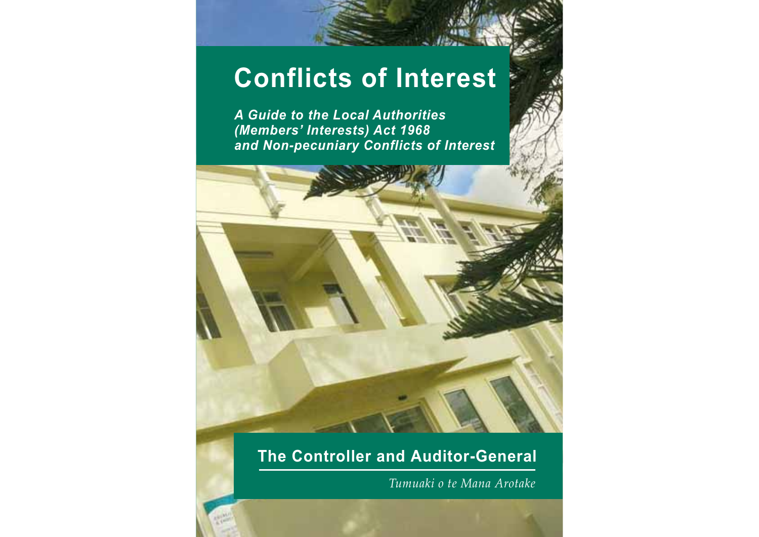# **Conflicts of Interest**

*A Guide to the Local Authorities (Members' Interests) Act 1968 and Non-pecuniary Conflicts of Interest*



## **The Controller and Auditor-General**

*Tumuaki o te Mana Arotake*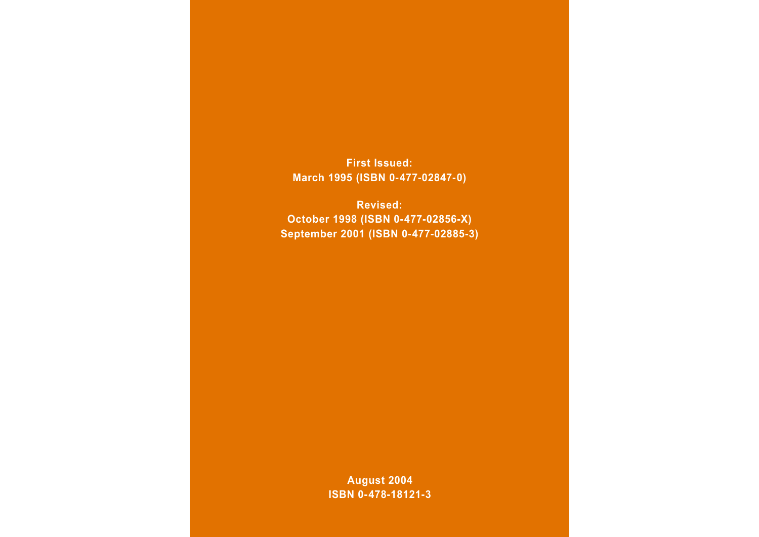**First Issued: March 1995 (ISBN 0-477-02847-0)**

**Revised: October 1998 (ISBN 0-477-02856-X) September 2001 (ISBN 0-477-02885-3)**

> **August 2004 ISBN 0-478-18121-3**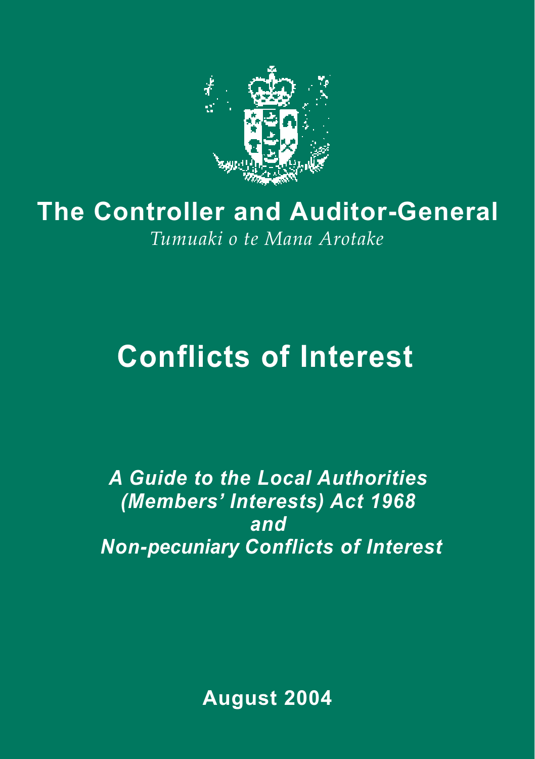

## **The Controller and Auditor-General** *Tumuaki o te Mana Arotake*

## **Conflicts of Interest**

*A Guide to the Local Authorities (Members' Interests) Act 1968 and Non-pecuniary Conflicts of Interest*

**August 2004**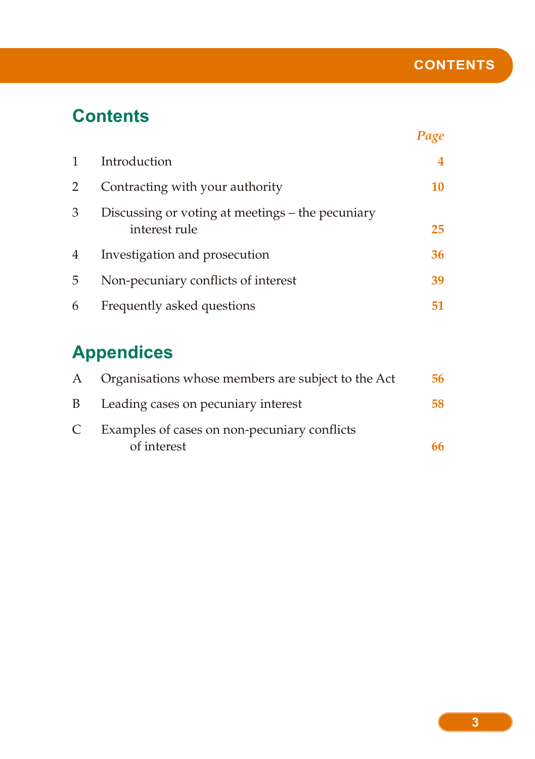## **Contents**

|   |                                                                   | Page |
|---|-------------------------------------------------------------------|------|
| 1 | Introduction                                                      | 4    |
| 2 | Contracting with your authority                                   | 10   |
| 3 | Discussing or voting at meetings – the pecuniary<br>interest rule | 25   |
| 4 | Investigation and prosecution                                     | 36   |
| 5 | Non-pecuniary conflicts of interest                               | 39   |
| 6 | Frequently asked questions                                        | 51   |

## **Appendices**

| A | Organisations whose members are subject to the Act          | 56 |
|---|-------------------------------------------------------------|----|
| B | Leading cases on pecuniary interest                         | 58 |
| C | Examples of cases on non-pecuniary conflicts<br>of interest | 66 |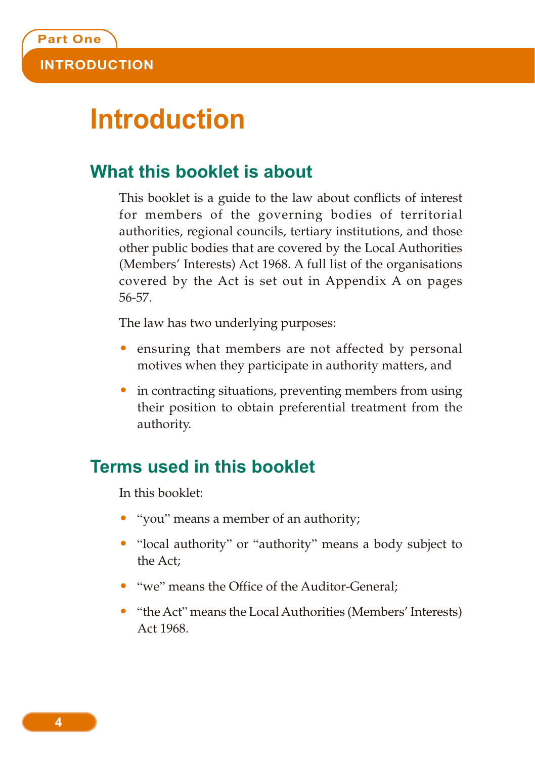## **Introduction**

## **What this booklet is about**

This booklet is a guide to the law about conflicts of interest for members of the governing bodies of territorial authorities, regional councils, tertiary institutions, and those other public bodies that are covered by the Local Authorities (Members' Interests) Act 1968. A full list of the organisations covered by the Act is set out in Appendix A on pages 56-57.

The law has two underlying purposes:

- ensuring that members are not affected by personal motives when they participate in authority matters, and
- in contracting situations, preventing members from using their position to obtain preferential treatment from the authority.

## **Terms used in this booklet**

In this booklet:

- "you" means a member of an authority;
- "local authority" or "authority" means a body subject to the Act;
- "we" means the Office of the Auditor-General:
- "the Act" means the Local Authorities (Members' Interests) Act 1968.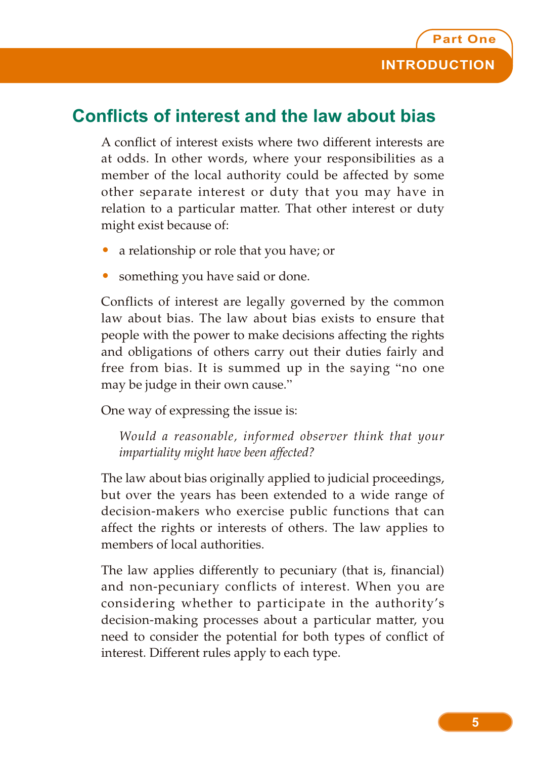## **Conflicts of interest and the law about bias**

A conflict of interest exists where two different interests are at odds. In other words, where your responsibilities as a member of the local authority could be affected by some other separate interest or duty that you may have in relation to a particular matter. That other interest or duty might exist because of:

- a relationship or role that you have; or
- something you have said or done.

Conflicts of interest are legally governed by the common law about bias. The law about bias exists to ensure that people with the power to make decisions affecting the rights and obligations of others carry out their duties fairly and free from bias. It is summed up in the saying "no one may be judge in their own cause."

One way of expressing the issue is:

*Would a reasonable, informed observer think that your impartiality might have been affected?*

The law about bias originally applied to judicial proceedings, but over the years has been extended to a wide range of decision-makers who exercise public functions that can affect the rights or interests of others. The law applies to members of local authorities.

The law applies differently to pecuniary (that is, financial) and non-pecuniary conflicts of interest. When you are considering whether to participate in the authority's decision-making processes about a particular matter, you need to consider the potential for both types of conflict of interest. Different rules apply to each type.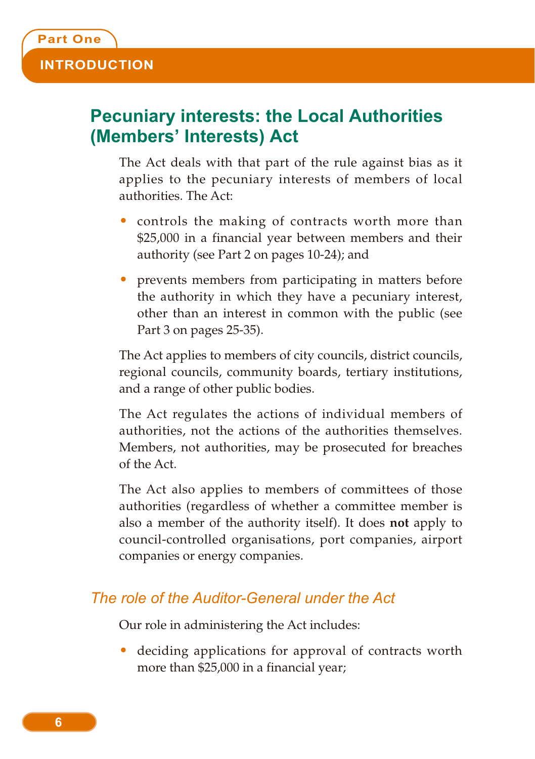## **Pecuniary interests: the Local Authorities (Members' Interests) Act**

The Act deals with that part of the rule against bias as it applies to the pecuniary interests of members of local authorities. The Act:

- controls the making of contracts worth more than \$25,000 in a financial year between members and their authority (see Part 2 on pages 10-24); and
- prevents members from participating in matters before the authority in which they have a pecuniary interest, other than an interest in common with the public (see Part 3 on pages 25-35).

The Act applies to members of city councils, district councils, regional councils, community boards, tertiary institutions, and a range of other public bodies.

The Act regulates the actions of individual members of authorities, not the actions of the authorities themselves. Members, not authorities, may be prosecuted for breaches of the Act.

The Act also applies to members of committees of those authorities (regardless of whether a committee member is also a member of the authority itself). It does **not** apply to council-controlled organisations, port companies, airport companies or energy companies.

#### *The role of the Auditor-General under the Act*

Our role in administering the Act includes:

• deciding applications for approval of contracts worth more than \$25,000 in a financial year;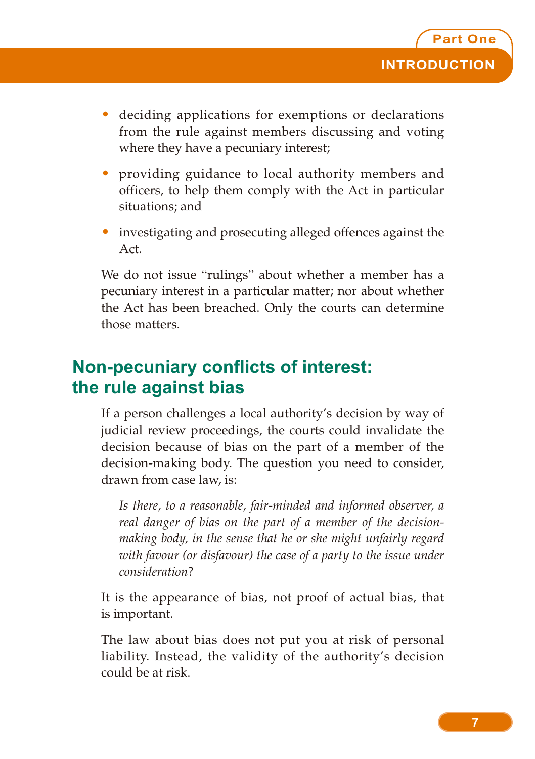- deciding applications for exemptions or declarations from the rule against members discussing and voting where they have a pecuniary interest;
- providing guidance to local authority members and officers, to help them comply with the Act in particular situations; and
- investigating and prosecuting alleged offences against the Act.

We do not issue "rulings" about whether a member has a pecuniary interest in a particular matter; nor about whether the Act has been breached. Only the courts can determine those matters.

## **Non-pecuniary conflicts of interest: the rule against bias**

If a person challenges a local authority's decision by way of judicial review proceedings, the courts could invalidate the decision because of bias on the part of a member of the decision-making body. The question you need to consider, drawn from case law, is:

*Is there, to a reasonable, fair-minded and informed observer, a real danger of bias on the part of a member of the decisionmaking body, in the sense that he or she might unfairly regard with favour (or disfavour) the case of a party to the issue under consideration*?

It is the appearance of bias, not proof of actual bias, that is important.

The law about bias does not put you at risk of personal liability. Instead, the validity of the authority's decision could be at risk.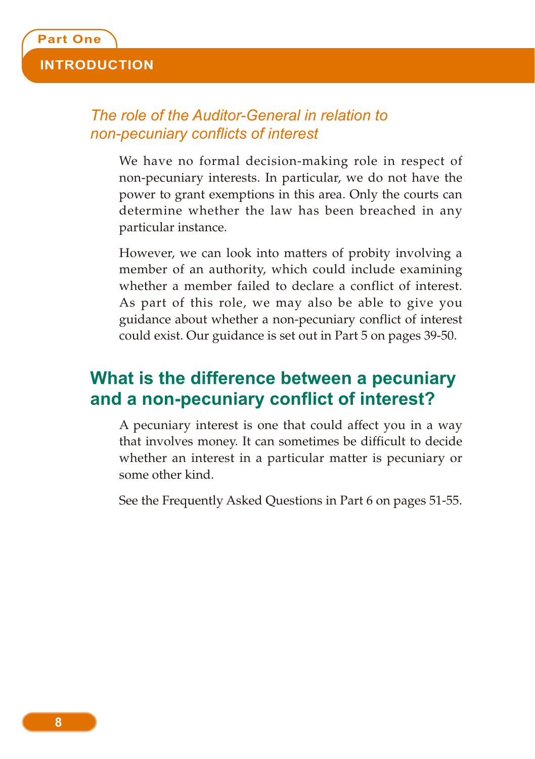#### *The role of the Auditor-General in relation to non-pecuniary conflicts of interest*

We have no formal decision-making role in respect of non-pecuniary interests. In particular, we do not have the power to grant exemptions in this area. Only the courts can determine whether the law has been breached in any particular instance.

However, we can look into matters of probity involving a member of an authority, which could include examining whether a member failed to declare a conflict of interest. As part of this role, we may also be able to give you guidance about whether a non-pecuniary conflict of interest could exist. Our guidance is set out in Part 5 on pages 39-50.

## **What is the difference between a pecuniary and a non-pecuniary conflict of interest?**

A pecuniary interest is one that could affect you in a way that involves money. It can sometimes be difficult to decide whether an interest in a particular matter is pecuniary or some other kind.

See the Frequently Asked Questions in Part 6 on pages 51-55.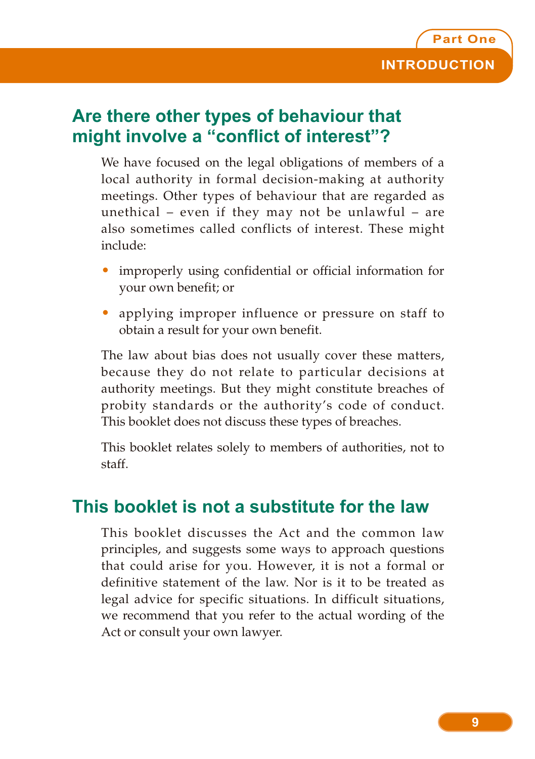## **Are there other types of behaviour that might involve a "conflict of interest"?**

We have focused on the legal obligations of members of a local authority in formal decision-making at authority meetings. Other types of behaviour that are regarded as unethical – even if they may not be unlawful – are also sometimes called conflicts of interest. These might include:

- improperly using confidential or official information for your own benefit; or
- applying improper influence or pressure on staff to obtain a result for your own benefit.

The law about bias does not usually cover these matters, because they do not relate to particular decisions at authority meetings. But they might constitute breaches of probity standards or the authority's code of conduct. This booklet does not discuss these types of breaches.

This booklet relates solely to members of authorities, not to staff.

### **This booklet is not a substitute for the law**

This booklet discusses the Act and the common law principles, and suggests some ways to approach questions that could arise for you. However, it is not a formal or definitive statement of the law. Nor is it to be treated as legal advice for specific situations. In difficult situations, we recommend that you refer to the actual wording of the Act or consult your own lawyer.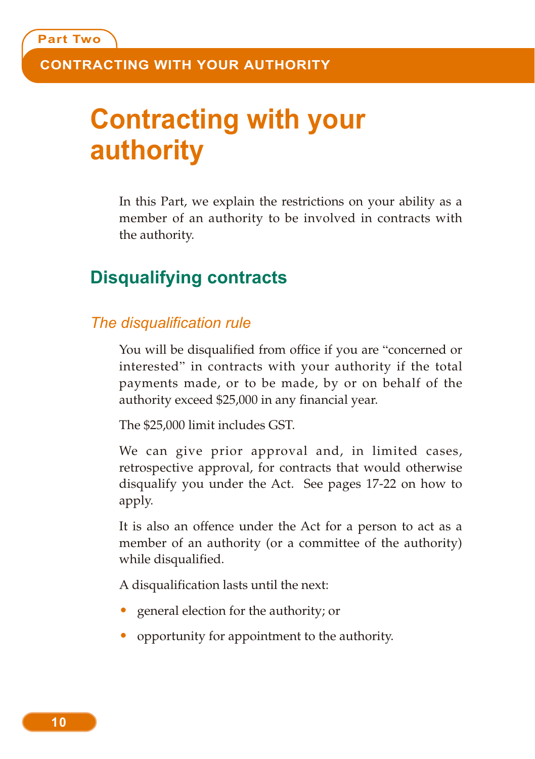## **Contracting with your authority**

In this Part, we explain the restrictions on your ability as a member of an authority to be involved in contracts with the authority.

### **Disqualifying contracts**

#### *The disqualification rule*

You will be disqualified from office if you are "concerned or interested" in contracts with your authority if the total payments made, or to be made, by or on behalf of the authority exceed \$25,000 in any financial year.

The \$25,000 limit includes GST.

We can give prior approval and, in limited cases, retrospective approval, for contracts that would otherwise disqualify you under the Act. See pages 17-22 on how to apply.

It is also an offence under the Act for a person to act as a member of an authority (or a committee of the authority) while disqualified.

A disqualification lasts until the next:

- general election for the authority; or
- opportunity for appointment to the authority.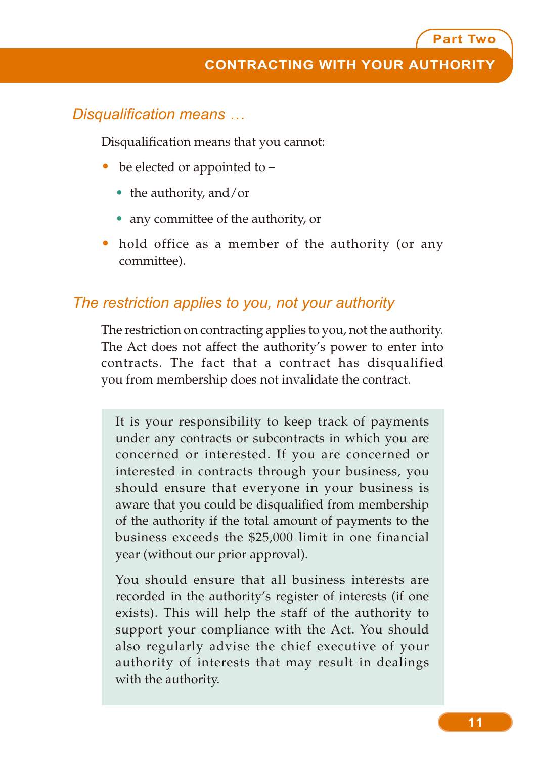#### *Disqualification means …*

Disqualification means that you cannot:

- be elected or appointed to
	- the authority, and/or
	- any committee of the authority, or
- hold office as a member of the authority (or any committee).

#### *The restriction applies to you, not your authority*

The restriction on contracting applies to you, not the authority. The Act does not affect the authority's power to enter into contracts. The fact that a contract has disqualified you from membership does not invalidate the contract.

It is your responsibility to keep track of payments under any contracts or subcontracts in which you are concerned or interested. If you are concerned or interested in contracts through your business, you should ensure that everyone in your business is aware that you could be disqualified from membership of the authority if the total amount of payments to the business exceeds the \$25,000 limit in one financial year (without our prior approval).

You should ensure that all business interests are recorded in the authority's register of interests (if one exists). This will help the staff of the authority to support your compliance with the Act. You should also regularly advise the chief executive of your authority of interests that may result in dealings with the authority.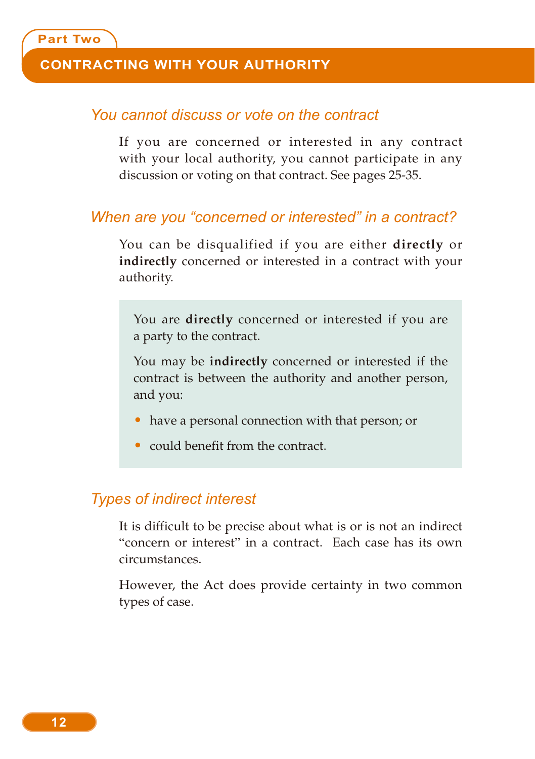#### **CONTRACTING WITH YOUR AUTHORITY**

#### *You cannot discuss or vote on the contract*

If you are concerned or interested in any contract with your local authority, you cannot participate in any discussion or voting on that contract. See pages 25-35.

#### *When are you "concerned or interested" in a contract?*

You can be disqualified if you are either **directly** or **indirectly** concerned or interested in a contract with your authority.

You are **directly** concerned or interested if you are a party to the contract.

You may be **indirectly** concerned or interested if the contract is between the authority and another person, and you:

- have a personal connection with that person; or
- could benefit from the contract.

#### *Types of indirect interest*

It is difficult to be precise about what is or is not an indirect "concern or interest" in a contract. Each case has its own circumstances.

However, the Act does provide certainty in two common types of case.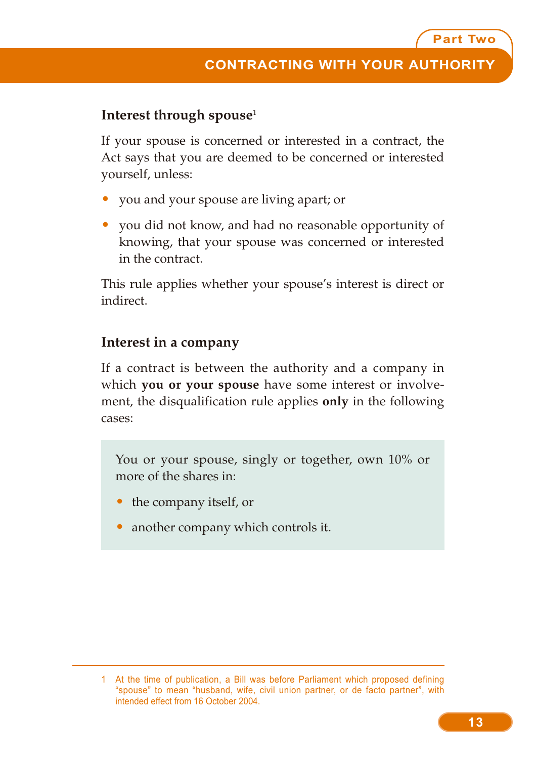#### **Interest through spouse**<sup>1</sup>

If your spouse is concerned or interested in a contract, the Act says that you are deemed to be concerned or interested yourself, unless:

- you and your spouse are living apart; or
- you did not know, and had no reasonable opportunity of knowing, that your spouse was concerned or interested in the contract.

This rule applies whether your spouse's interest is direct or indirect.

#### **Interest in a company**

If a contract is between the authority and a company in which **you or your spouse** have some interest or involvement, the disqualification rule applies **only** in the following cases:

You or your spouse, singly or together, own 10% or more of the shares in:

- the company itself, or
- another company which controls it.

<sup>1</sup> At the time of publication, a Bill was before Parliament which proposed defining "spouse" to mean "husband, wife, civil union partner, or de facto partner", with intended effect from 16 October 2004.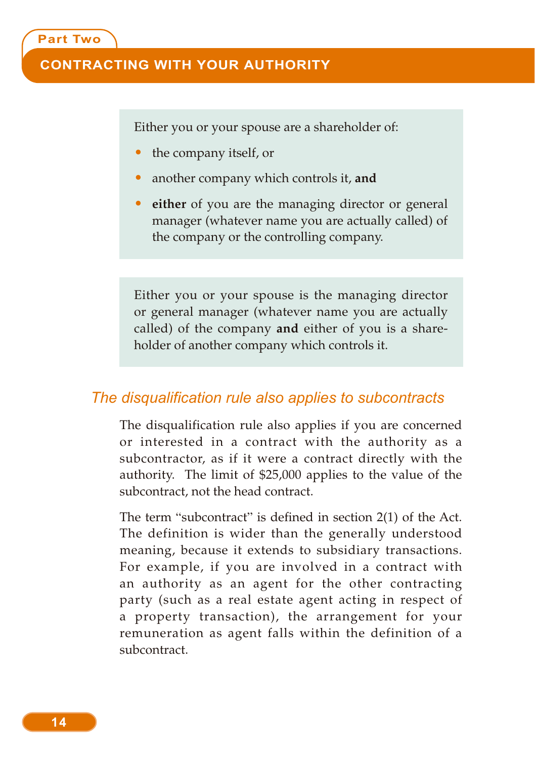#### **CONTRACTING WITH YOUR AUTHORITY**

Either you or your spouse are a shareholder of:

- the company itself, or
- another company which controls it, **and**
- **either** of you are the managing director or general manager (whatever name you are actually called) of the company or the controlling company.

Either you or your spouse is the managing director or general manager (whatever name you are actually called) of the company **and** either of you is a shareholder of another company which controls it.

#### *The disqualification rule also applies to subcontracts*

The disqualification rule also applies if you are concerned or interested in a contract with the authority as a subcontractor, as if it were a contract directly with the authority. The limit of \$25,000 applies to the value of the subcontract, not the head contract.

The term "subcontract" is defined in section 2(1) of the Act. The definition is wider than the generally understood meaning, because it extends to subsidiary transactions. For example, if you are involved in a contract with an authority as an agent for the other contracting party (such as a real estate agent acting in respect of a property transaction), the arrangement for your remuneration as agent falls within the definition of a subcontract.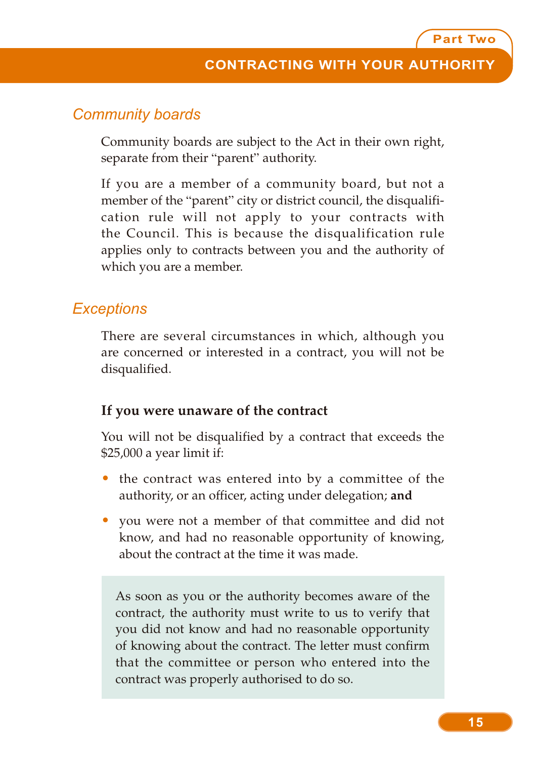#### *Community boards*

Community boards are subject to the Act in their own right, separate from their "parent" authority.

If you are a member of a community board, but not a member of the "parent" city or district council, the disqualification rule will not apply to your contracts with the Council. This is because the disqualification rule applies only to contracts between you and the authority of which you are a member.

#### *Exceptions*

There are several circumstances in which, although you are concerned or interested in a contract, you will not be disqualified.

#### **If you were unaware of the contract**

You will not be disqualified by a contract that exceeds the \$25,000 a year limit if:

- the contract was entered into by a committee of the authority, or an officer, acting under delegation; **and**
- you were not a member of that committee and did not know, and had no reasonable opportunity of knowing, about the contract at the time it was made.

As soon as you or the authority becomes aware of the contract, the authority must write to us to verify that you did not know and had no reasonable opportunity of knowing about the contract. The letter must confirm that the committee or person who entered into the contract was properly authorised to do so.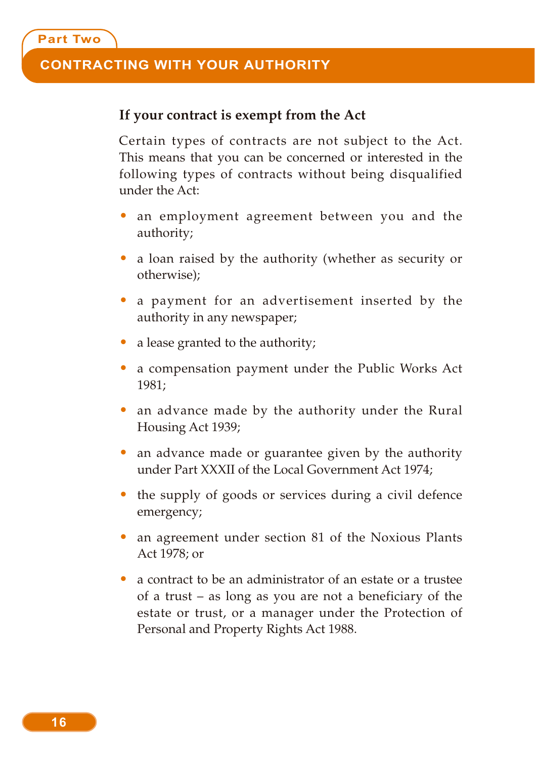#### **CONTRACTING WITH YOUR AUTHORITY**

#### **If your contract is exempt from the Act**

Certain types of contracts are not subject to the Act. This means that you can be concerned or interested in the following types of contracts without being disqualified under the Act:

- an employment agreement between you and the authority;
- a loan raised by the authority (whether as security or otherwise);
- a payment for an advertisement inserted by the authority in any newspaper;
- a lease granted to the authority;
- a compensation payment under the Public Works Act 1981;
- an advance made by the authority under the Rural Housing Act 1939;
- an advance made or guarantee given by the authority under Part XXXII of the Local Government Act 1974;
- the supply of goods or services during a civil defence emergency;
- an agreement under section 81 of the Noxious Plants Act 1978; or
- a contract to be an administrator of an estate or a trustee of a trust – as long as you are not a beneficiary of the estate or trust, or a manager under the Protection of Personal and Property Rights Act 1988.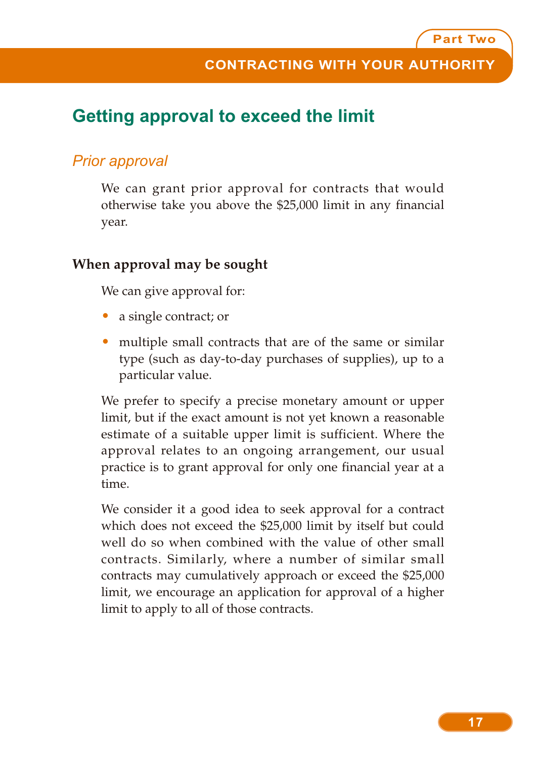## **Getting approval to exceed the limit**

#### *Prior approval*

We can grant prior approval for contracts that would otherwise take you above the \$25,000 limit in any financial year.

#### **When approval may be sought**

We can give approval for:

- a single contract; or
- multiple small contracts that are of the same or similar type (such as day-to-day purchases of supplies), up to a particular value.

We prefer to specify a precise monetary amount or upper limit, but if the exact amount is not yet known a reasonable estimate of a suitable upper limit is sufficient. Where the approval relates to an ongoing arrangement, our usual practice is to grant approval for only one financial year at a time.

We consider it a good idea to seek approval for a contract which does not exceed the \$25,000 limit by itself but could well do so when combined with the value of other small contracts. Similarly, where a number of similar small contracts may cumulatively approach or exceed the \$25,000 limit, we encourage an application for approval of a higher limit to apply to all of those contracts.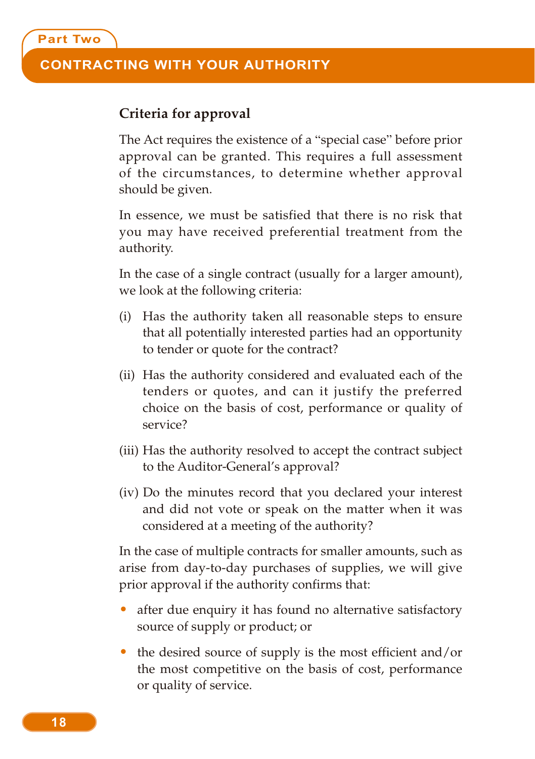**Part Two**

#### **Criteria for approval**

The Act requires the existence of a "special case" before prior approval can be granted. This requires a full assessment of the circumstances, to determine whether approval should be given.

In essence, we must be satisfied that there is no risk that you may have received preferential treatment from the authority.

In the case of a single contract (usually for a larger amount), we look at the following criteria:

- (i) Has the authority taken all reasonable steps to ensure that all potentially interested parties had an opportunity to tender or quote for the contract?
- (ii) Has the authority considered and evaluated each of the tenders or quotes, and can it justify the preferred choice on the basis of cost, performance or quality of service?
- (iii) Has the authority resolved to accept the contract subject to the Auditor-General's approval?
- (iv) Do the minutes record that you declared your interest and did not vote or speak on the matter when it was considered at a meeting of the authority?

In the case of multiple contracts for smaller amounts, such as arise from day-to-day purchases of supplies, we will give prior approval if the authority confirms that:

- after due enquiry it has found no alternative satisfactory source of supply or product; or
- the desired source of supply is the most efficient and/or the most competitive on the basis of cost, performance or quality of service.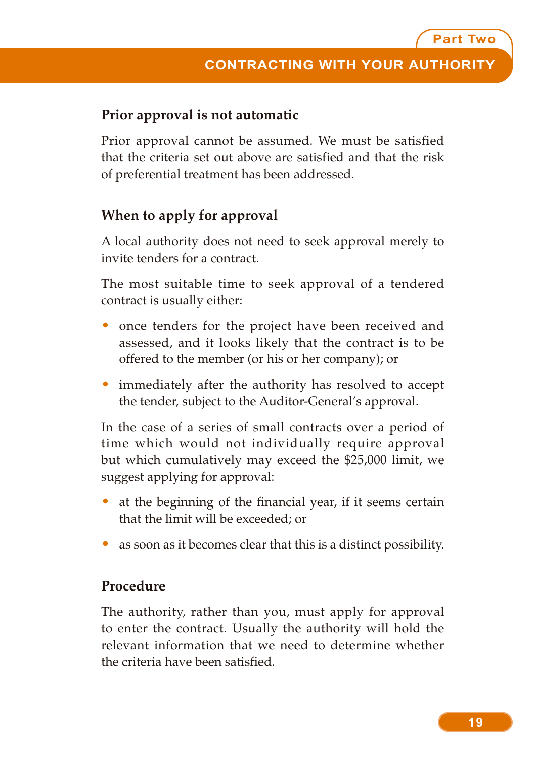#### **Prior approval is not automatic**

Prior approval cannot be assumed. We must be satisfied that the criteria set out above are satisfied and that the risk of preferential treatment has been addressed.

#### **When to apply for approval**

A local authority does not need to seek approval merely to invite tenders for a contract.

The most suitable time to seek approval of a tendered contract is usually either:

- once tenders for the project have been received and assessed, and it looks likely that the contract is to be offered to the member (or his or her company); or
- immediately after the authority has resolved to accept the tender, subject to the Auditor-General's approval.

In the case of a series of small contracts over a period of time which would not individually require approval but which cumulatively may exceed the \$25,000 limit, we suggest applying for approval:

- at the beginning of the financial year, if it seems certain that the limit will be exceeded; or
- as soon as it becomes clear that this is a distinct possibility.

#### **Procedure**

The authority, rather than you, must apply for approval to enter the contract. Usually the authority will hold the relevant information that we need to determine whether the criteria have been satisfied.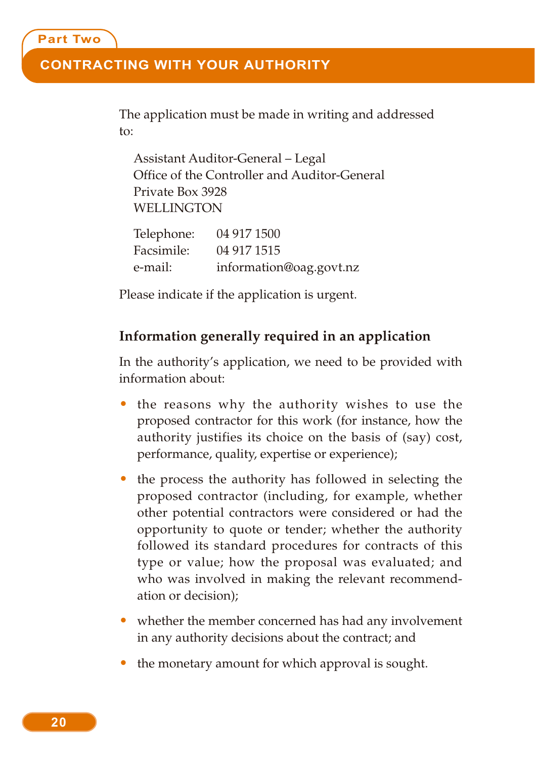#### **CONTRACTING WITH YOUR AUTHORITY**

The application must be made in writing and addressed to:

Assistant Auditor-General – Legal Office of the Controller and Auditor-General Private Box 3928 WELLINGTON

| Telephone: | 04 917 1500             |
|------------|-------------------------|
| Facsimile: | 04 917 1515             |
| e-mail:    | information@oag.govt.nz |

Please indicate if the application is urgent.

#### **Information generally required in an application**

In the authority's application, we need to be provided with information about:

- the reasons why the authority wishes to use the proposed contractor for this work (for instance, how the authority justifies its choice on the basis of (say) cost, performance, quality, expertise or experience);
- the process the authority has followed in selecting the proposed contractor (including, for example, whether other potential contractors were considered or had the opportunity to quote or tender; whether the authority followed its standard procedures for contracts of this type or value; how the proposal was evaluated; and who was involved in making the relevant recommendation or decision);
- whether the member concerned has had any involvement in any authority decisions about the contract; and
- the monetary amount for which approval is sought.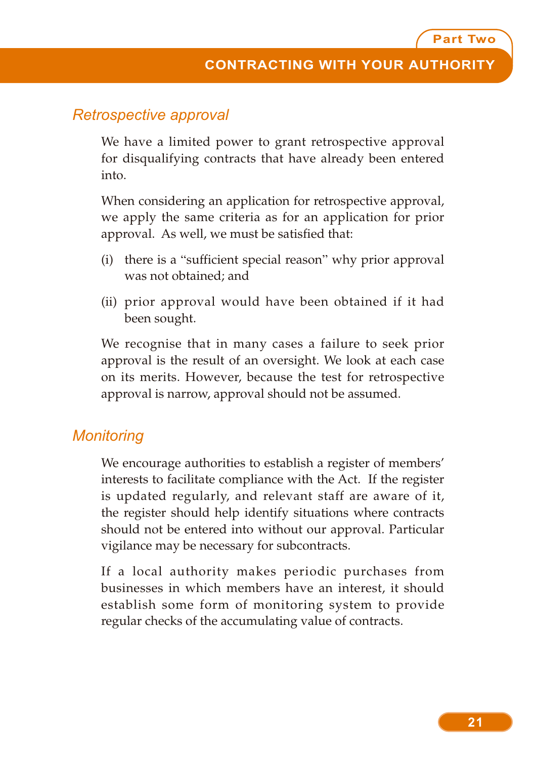#### *Retrospective approval*

We have a limited power to grant retrospective approval for disqualifying contracts that have already been entered into.

When considering an application for retrospective approval, we apply the same criteria as for an application for prior approval. As well, we must be satisfied that:

- (i) there is a "sufficient special reason" why prior approval was not obtained; and
- (ii) prior approval would have been obtained if it had been sought.

We recognise that in many cases a failure to seek prior approval is the result of an oversight. We look at each case on its merits. However, because the test for retrospective approval is narrow, approval should not be assumed.

#### *Monitoring*

We encourage authorities to establish a register of members' interests to facilitate compliance with the Act. If the register is updated regularly, and relevant staff are aware of it, the register should help identify situations where contracts should not be entered into without our approval. Particular vigilance may be necessary for subcontracts.

If a local authority makes periodic purchases from businesses in which members have an interest, it should establish some form of monitoring system to provide regular checks of the accumulating value of contracts.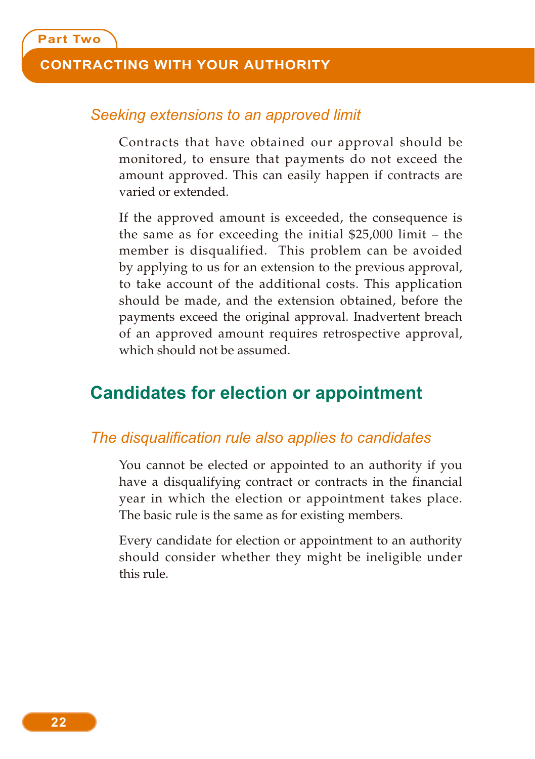#### **CONTRACTING WITH YOUR AUTHORITY**

#### *Seeking extensions to an approved limit*

Contracts that have obtained our approval should be monitored, to ensure that payments do not exceed the amount approved. This can easily happen if contracts are varied or extended.

If the approved amount is exceeded, the consequence is the same as for exceeding the initial \$25,000 limit – the member is disqualified. This problem can be avoided by applying to us for an extension to the previous approval, to take account of the additional costs. This application should be made, and the extension obtained, before the payments exceed the original approval. Inadvertent breach of an approved amount requires retrospective approval, which should not be assumed.

### **Candidates for election or appointment**

#### *The disqualification rule also applies to candidates*

You cannot be elected or appointed to an authority if you have a disqualifying contract or contracts in the financial year in which the election or appointment takes place. The basic rule is the same as for existing members.

Every candidate for election or appointment to an authority should consider whether they might be ineligible under this rule.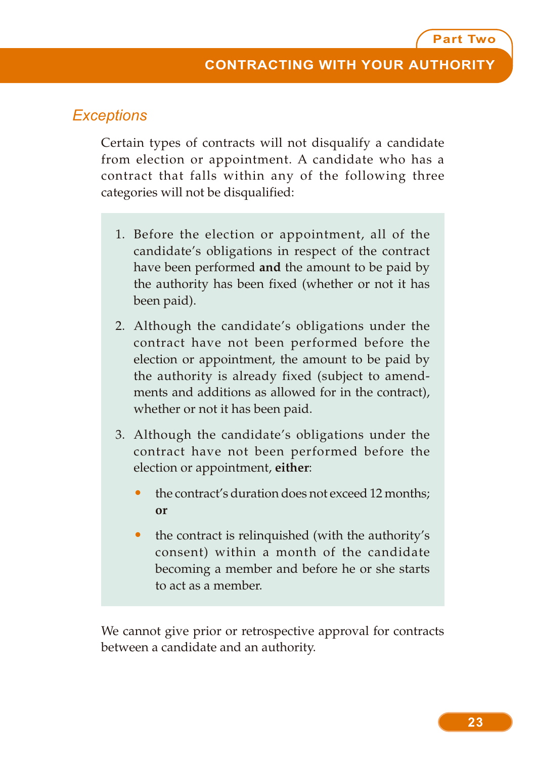#### *Exceptions*

Certain types of contracts will not disqualify a candidate from election or appointment. A candidate who has a contract that falls within any of the following three categories will not be disqualified:

- 1. Before the election or appointment, all of the candidate's obligations in respect of the contract have been performed **and** the amount to be paid by the authority has been fixed (whether or not it has been paid).
- 2. Although the candidate's obligations under the contract have not been performed before the election or appointment, the amount to be paid by the authority is already fixed (subject to amendments and additions as allowed for in the contract), whether or not it has been paid.
- 3. Although the candidate's obligations under the contract have not been performed before the election or appointment, **either**:
	- the contract's duration does not exceed 12 months; **or**
	- the contract is relinquished (with the authority's consent) within a month of the candidate becoming a member and before he or she starts to act as a member.

We cannot give prior or retrospective approval for contracts between a candidate and an authority.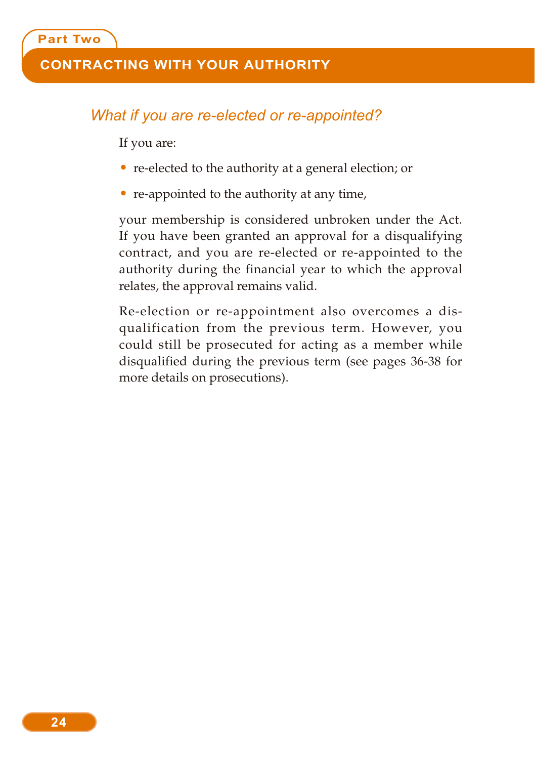#### **CONTRACTING WITH YOUR AUTHORITY**

#### *What if you are re-elected or re-appointed?*

If you are:

- re-elected to the authority at a general election; or
- re-appointed to the authority at any time,

your membership is considered unbroken under the Act. If you have been granted an approval for a disqualifying contract, and you are re-elected or re-appointed to the authority during the financial year to which the approval relates, the approval remains valid.

Re-election or re-appointment also overcomes a disqualification from the previous term. However, you could still be prosecuted for acting as a member while disqualified during the previous term (see pages 36-38 for more details on prosecutions).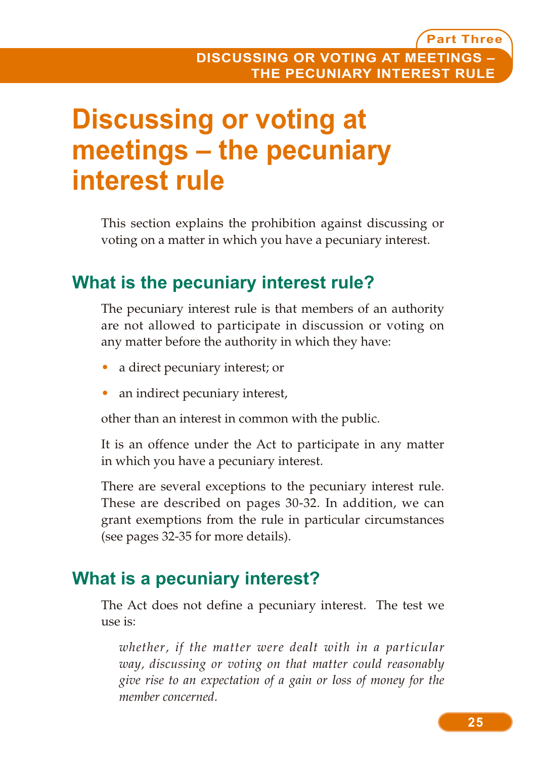## **Discussing or voting at meetings – the pecuniary interest rule**

This section explains the prohibition against discussing or voting on a matter in which you have a pecuniary interest.

## **What is the pecuniary interest rule?**

The pecuniary interest rule is that members of an authority are not allowed to participate in discussion or voting on any matter before the authority in which they have:

- a direct pecuniary interest; or
- an indirect pecuniary interest,

other than an interest in common with the public.

It is an offence under the Act to participate in any matter in which you have a pecuniary interest.

There are several exceptions to the pecuniary interest rule. These are described on pages 30-32. In addition, we can grant exemptions from the rule in particular circumstances (see pages 32-35 for more details).

### **What is a pecuniary interest?**

The Act does not define a pecuniary interest. The test we use is:

*whether, if the matter were dealt with in a particular way, discussing or voting on that matter could reasonably give rise to an expectation of a gain or loss of money for the member concerned.*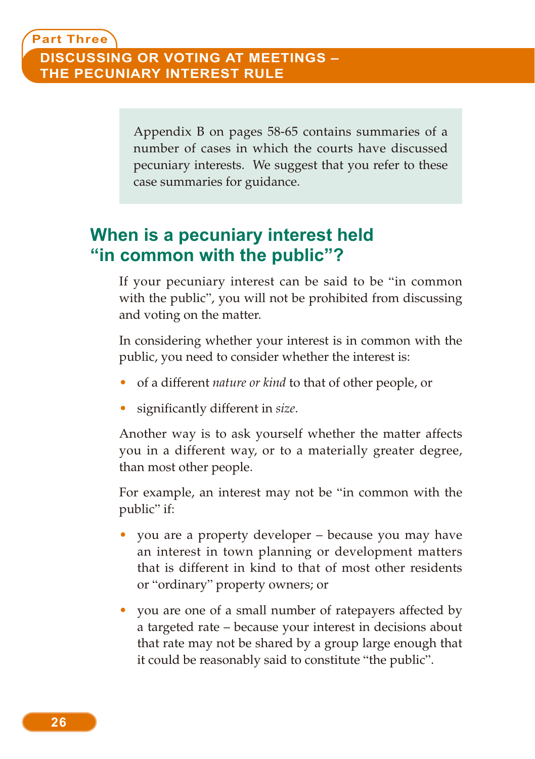Appendix B on pages 58-65 contains summaries of a number of cases in which the courts have discussed pecuniary interests. We suggest that you refer to these case summaries for guidance.

## **When is a pecuniary interest held "in common with the public"?**

If your pecuniary interest can be said to be "in common with the public", you will not be prohibited from discussing and voting on the matter.

In considering whether your interest is in common with the public, you need to consider whether the interest is:

- of a different *nature or kind* to that of other people, or
- significantly different in *size*.

Another way is to ask yourself whether the matter affects you in a different way, or to a materially greater degree, than most other people.

For example, an interest may not be "in common with the public" if:

- you are a property developer because you may have an interest in town planning or development matters that is different in kind to that of most other residents or "ordinary" property owners; or
- you are one of a small number of ratepayers affected by a targeted rate – because your interest in decisions about that rate may not be shared by a group large enough that it could be reasonably said to constitute "the public".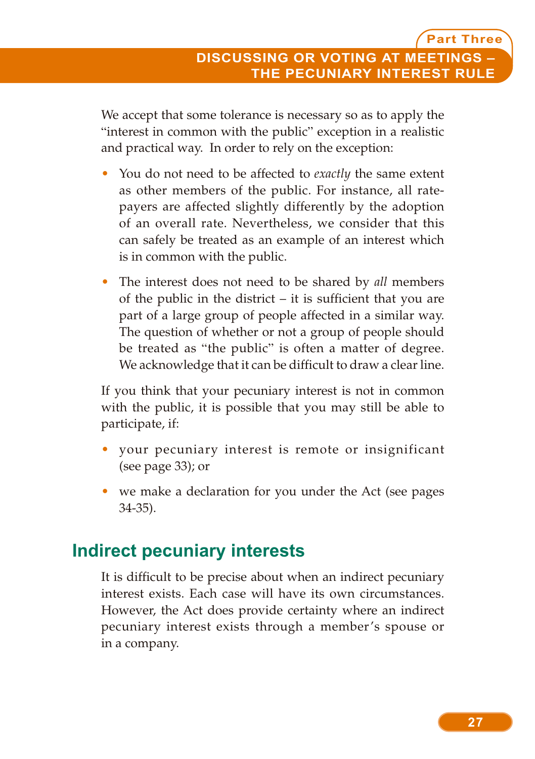We accept that some tolerance is necessary so as to apply the "interest in common with the public" exception in a realistic and practical way. In order to rely on the exception:

- You do not need to be affected to *exactly* the same extent as other members of the public. For instance, all ratepayers are affected slightly differently by the adoption of an overall rate. Nevertheless, we consider that this can safely be treated as an example of an interest which is in common with the public.
- The interest does not need to be shared by *all* members of the public in the district – it is sufficient that you are part of a large group of people affected in a similar way. The question of whether or not a group of people should be treated as "the public" is often a matter of degree. We acknowledge that it can be difficult to draw a clear line.

If you think that your pecuniary interest is not in common with the public, it is possible that you may still be able to participate, if:

- your pecuniary interest is remote or insignificant (see page 33); or
- we make a declaration for you under the Act (see pages 34-35).

## **Indirect pecuniary interests**

It is difficult to be precise about when an indirect pecuniary interest exists. Each case will have its own circumstances. However, the Act does provide certainty where an indirect pecuniary interest exists through a member's spouse or in a company.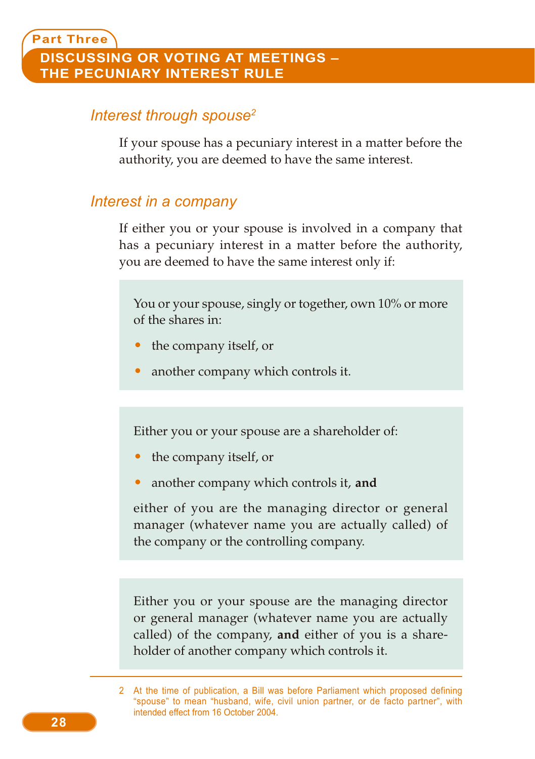#### *Interest through spouse2*

If your spouse has a pecuniary interest in a matter before the authority, you are deemed to have the same interest.

#### *Interest in a company*

If either you or your spouse is involved in a company that has a pecuniary interest in a matter before the authority, you are deemed to have the same interest only if:

You or your spouse, singly or together, own 10% or more of the shares in:

- the company itself, or
- another company which controls it.

Either you or your spouse are a shareholder of:

- the company itself, or
- another company which controls it, **and**

either of you are the managing director or general manager (whatever name you are actually called) of the company or the controlling company.

Either you or your spouse are the managing director or general manager (whatever name you are actually called) of the company, **and** either of you is a shareholder of another company which controls it.

<sup>2</sup> At the time of publication, a Bill was before Parliament which proposed defining "spouse" to mean "husband, wife, civil union partner, or de facto partner", with intended effect from 16 October 2004.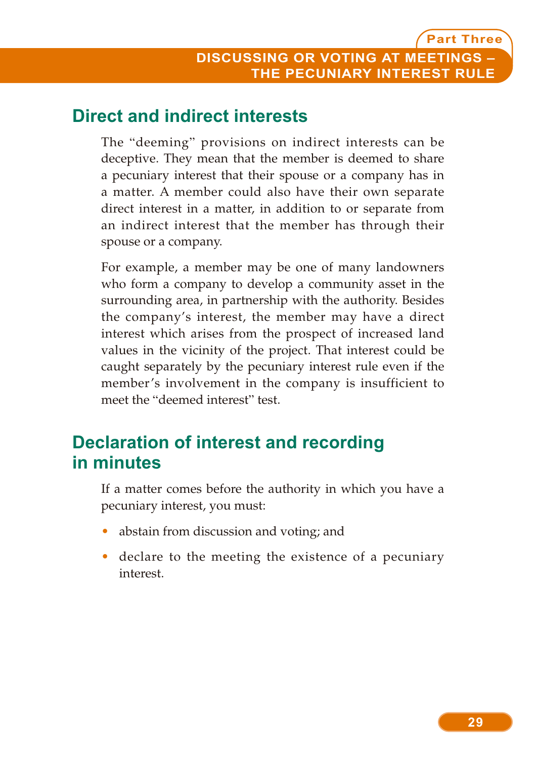## **Direct and indirect interests**

The "deeming" provisions on indirect interests can be deceptive. They mean that the member is deemed to share a pecuniary interest that their spouse or a company has in a matter. A member could also have their own separate direct interest in a matter, in addition to or separate from an indirect interest that the member has through their spouse or a company.

For example, a member may be one of many landowners who form a company to develop a community asset in the surrounding area, in partnership with the authority. Besides the company's interest, the member may have a direct interest which arises from the prospect of increased land values in the vicinity of the project. That interest could be caught separately by the pecuniary interest rule even if the member's involvement in the company is insufficient to meet the "deemed interest" test.

## **Declaration of interest and recording in minutes**

If a matter comes before the authority in which you have a pecuniary interest, you must:

- abstain from discussion and voting; and
- declare to the meeting the existence of a pecuniary interest.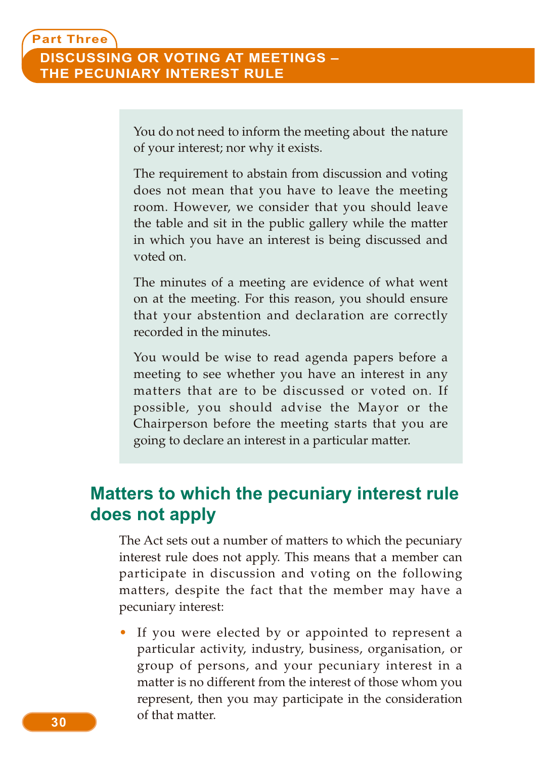You do not need to inform the meeting about the nature of your interest; nor why it exists.

The requirement to abstain from discussion and voting does not mean that you have to leave the meeting room. However, we consider that you should leave the table and sit in the public gallery while the matter in which you have an interest is being discussed and voted on.

The minutes of a meeting are evidence of what went on at the meeting. For this reason, you should ensure that your abstention and declaration are correctly recorded in the minutes.

You would be wise to read agenda papers before a meeting to see whether you have an interest in any matters that are to be discussed or voted on. If possible, you should advise the Mayor or the Chairperson before the meeting starts that you are going to declare an interest in a particular matter.

## **Matters to which the pecuniary interest rule does not apply**

The Act sets out a number of matters to which the pecuniary interest rule does not apply. This means that a member can participate in discussion and voting on the following matters, despite the fact that the member may have a pecuniary interest:

If you were elected by or appointed to represent a particular activity, industry, business, organisation, or group of persons, and your pecuniary interest in a matter is no different from the interest of those whom you represent, then you may participate in the consideration of that matter.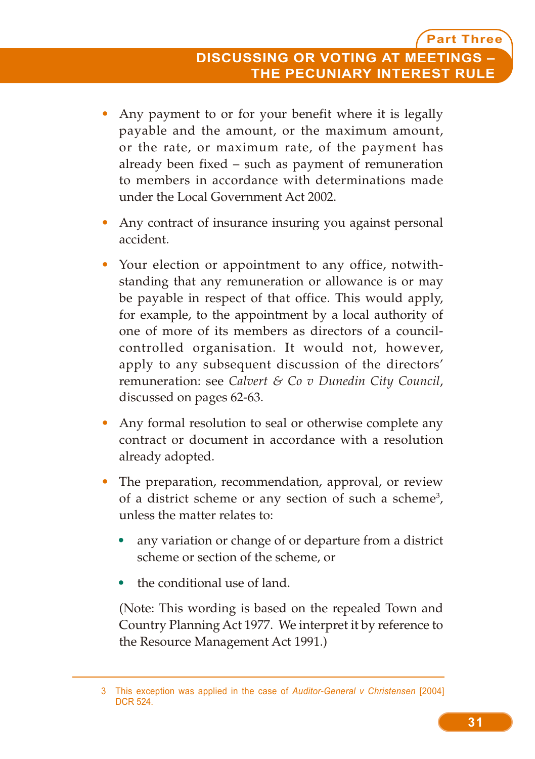- Any payment to or for your benefit where it is legally payable and the amount, or the maximum amount, or the rate, or maximum rate, of the payment has already been fixed – such as payment of remuneration to members in accordance with determinations made under the Local Government Act 2002.
- Any contract of insurance insuring you against personal accident.
- Your election or appointment to any office, notwithstanding that any remuneration or allowance is or may be payable in respect of that office. This would apply, for example, to the appointment by a local authority of one of more of its members as directors of a councilcontrolled organisation. It would not, however, apply to any subsequent discussion of the directors' remuneration: see *Calvert & Co v Dunedin City Council*, discussed on pages 62-63.
- Any formal resolution to seal or otherwise complete any contract or document in accordance with a resolution already adopted.
- The preparation, recommendation, approval, or review of a district scheme or any section of such a scheme<sup>3</sup>, unless the matter relates to:
	- any variation or change of or departure from a district scheme or section of the scheme, or
	- the conditional use of land.

(Note: This wording is based on the repealed Town and Country Planning Act 1977. We interpret it by reference to the Resource Management Act 1991.)

<sup>3</sup> This exception was applied in the case of *Auditor-General v Christensen* [2004] DCR 524.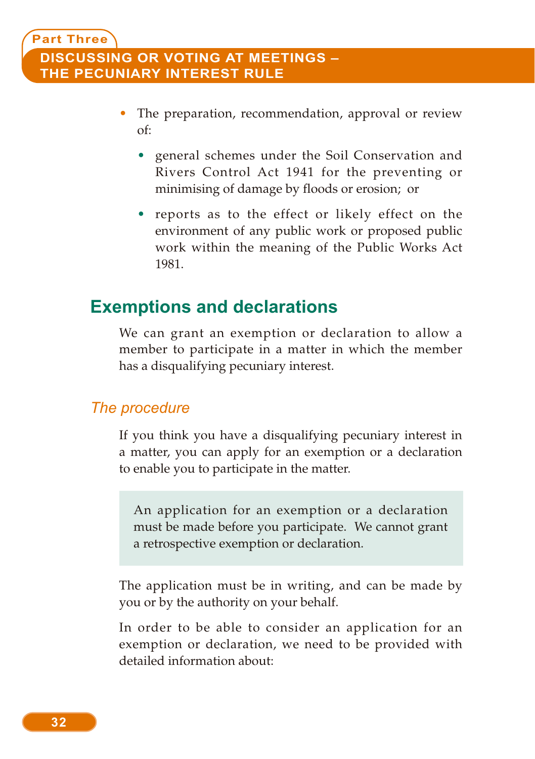#### **Part Three DISCUSSING OR VOTING AT MEETINGS – THE PECUNIARY INTEREST RULE**

- The preparation, recommendation, approval or review of:
	- general schemes under the Soil Conservation and Rivers Control Act 1941 for the preventing or minimising of damage by floods or erosion; or
	- reports as to the effect or likely effect on the environment of any public work or proposed public work within the meaning of the Public Works Act 1981.

### **Exemptions and declarations**

We can grant an exemption or declaration to allow a member to participate in a matter in which the member has a disqualifying pecuniary interest.

#### *The procedure*

If you think you have a disqualifying pecuniary interest in a matter, you can apply for an exemption or a declaration to enable you to participate in the matter.

An application for an exemption or a declaration must be made before you participate. We cannot grant a retrospective exemption or declaration.

The application must be in writing, and can be made by you or by the authority on your behalf.

In order to be able to consider an application for an exemption or declaration, we need to be provided with detailed information about: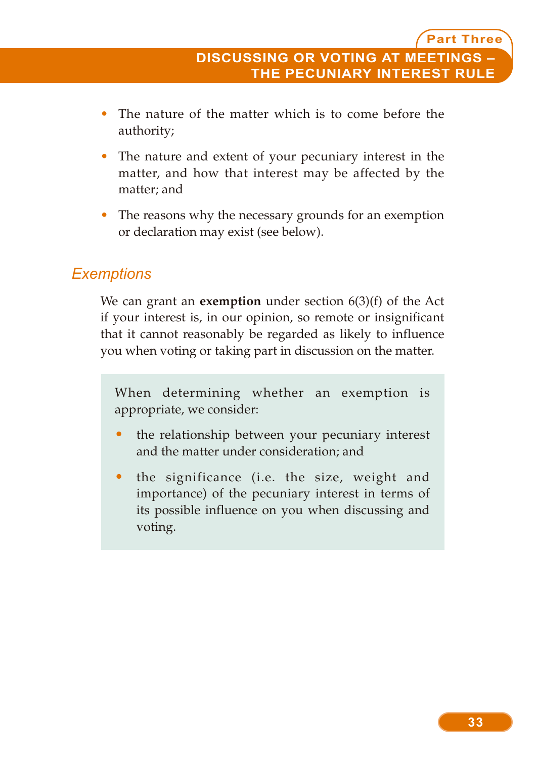- The nature of the matter which is to come before the authority;
- The nature and extent of your pecuniary interest in the matter, and how that interest may be affected by the matter; and
- The reasons why the necessary grounds for an exemption or declaration may exist (see below).

#### *Exemptions*

We can grant an **exemption** under section 6(3)(f) of the Act if your interest is, in our opinion, so remote or insignificant that it cannot reasonably be regarded as likely to influence you when voting or taking part in discussion on the matter.

When determining whether an exemption is appropriate, we consider:

- the relationship between your pecuniary interest and the matter under consideration; and
- the significance (i.e. the size, weight and importance) of the pecuniary interest in terms of its possible influence on you when discussing and voting.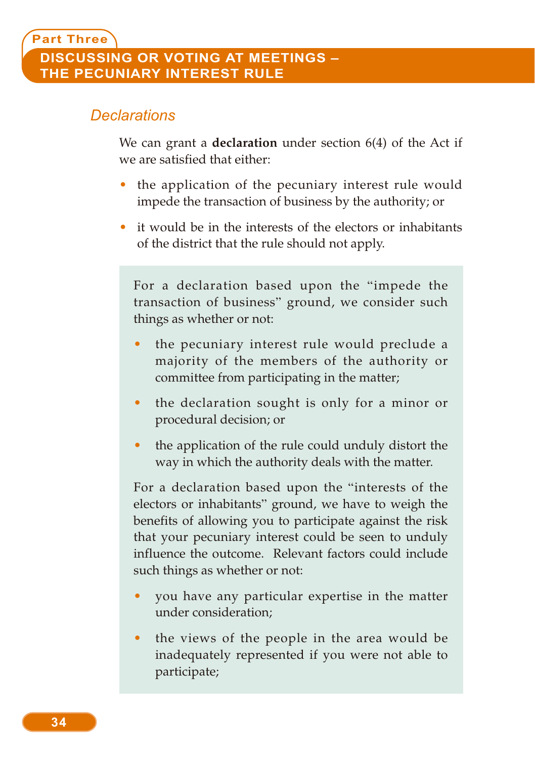#### *Declarations*

We can grant a **declaration** under section 6(4) of the Act if we are satisfied that either:

- the application of the pecuniary interest rule would impede the transaction of business by the authority; or
- it would be in the interests of the electors or inhabitants of the district that the rule should not apply.

For a declaration based upon the "impede the transaction of business" ground, we consider such things as whether or not:

- the pecuniary interest rule would preclude a majority of the members of the authority or committee from participating in the matter;
- the declaration sought is only for a minor or procedural decision; or
- the application of the rule could unduly distort the way in which the authority deals with the matter.

For a declaration based upon the "interests of the electors or inhabitants" ground, we have to weigh the benefits of allowing you to participate against the risk that your pecuniary interest could be seen to unduly influence the outcome. Relevant factors could include such things as whether or not:

- you have any particular expertise in the matter under consideration;
- the views of the people in the area would be inadequately represented if you were not able to participate;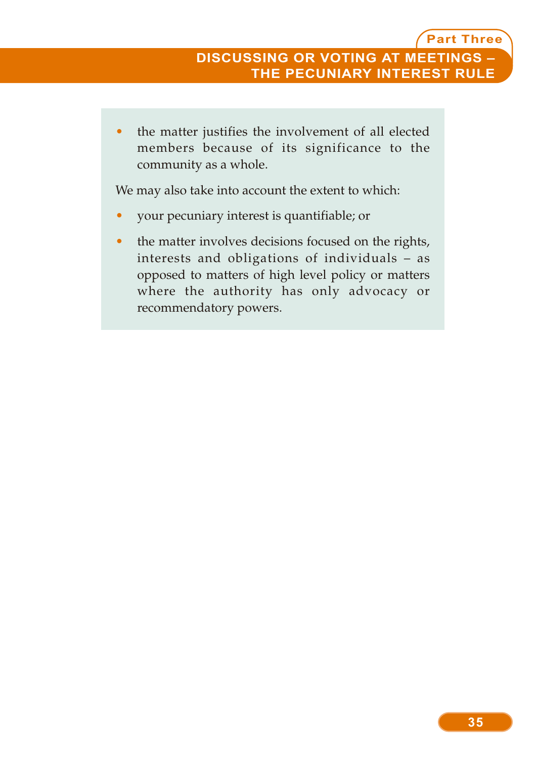• the matter justifies the involvement of all elected members because of its significance to the community as a whole.

We may also take into account the extent to which:

- your pecuniary interest is quantifiable; or
- the matter involves decisions focused on the rights, interests and obligations of individuals – as opposed to matters of high level policy or matters where the authority has only advocacy or recommendatory powers.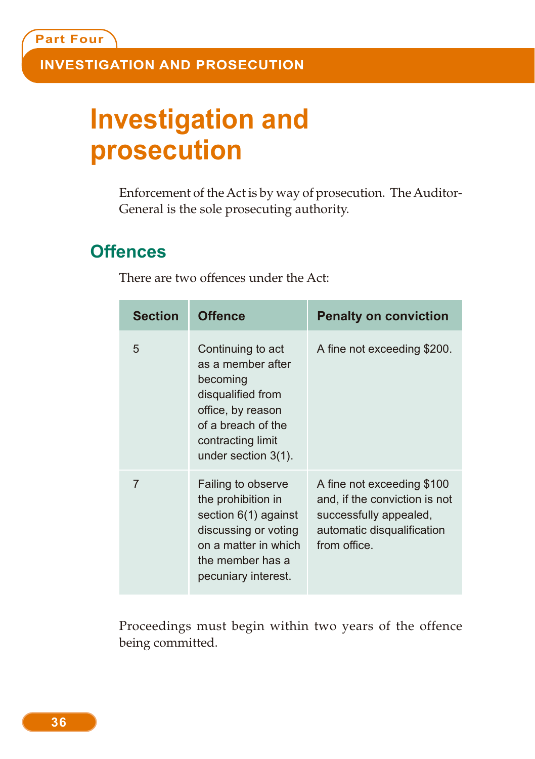# **Investigation and prosecution**

Enforcement of the Act is by way of prosecution. The Auditor-General is the sole prosecuting authority.

## **Offences**

| <b>Section</b> | <b>Offence</b>                                                                                                                                                    | <b>Penalty on conviction</b>                                                                                                        |
|----------------|-------------------------------------------------------------------------------------------------------------------------------------------------------------------|-------------------------------------------------------------------------------------------------------------------------------------|
| 5              | Continuing to act<br>as a member after<br>becoming<br>disqualified from<br>office, by reason<br>of a breach of the<br>contracting limit<br>under section $3(1)$ . | A fine not exceeding \$200.                                                                                                         |
| 7              | Failing to observe<br>the prohibition in<br>section $6(1)$ against<br>discussing or voting<br>on a matter in which<br>the member has a<br>pecuniary interest.     | A fine not exceeding \$100<br>and, if the conviction is not<br>successfully appealed,<br>automatic disqualification<br>from office. |

There are two offences under the Act:

Proceedings must begin within two years of the offence being committed.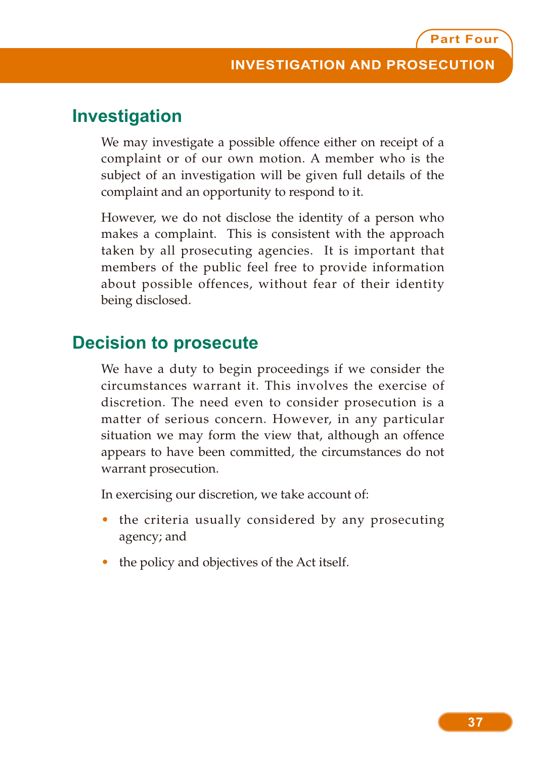## **Investigation**

We may investigate a possible offence either on receipt of a complaint or of our own motion. A member who is the subject of an investigation will be given full details of the complaint and an opportunity to respond to it.

However, we do not disclose the identity of a person who makes a complaint. This is consistent with the approach taken by all prosecuting agencies. It is important that members of the public feel free to provide information about possible offences, without fear of their identity being disclosed.

### **Decision to prosecute**

We have a duty to begin proceedings if we consider the circumstances warrant it. This involves the exercise of discretion. The need even to consider prosecution is a matter of serious concern. However, in any particular situation we may form the view that, although an offence appears to have been committed, the circumstances do not warrant prosecution.

In exercising our discretion, we take account of:

- the criteria usually considered by any prosecuting agency; and
- the policy and objectives of the Act itself.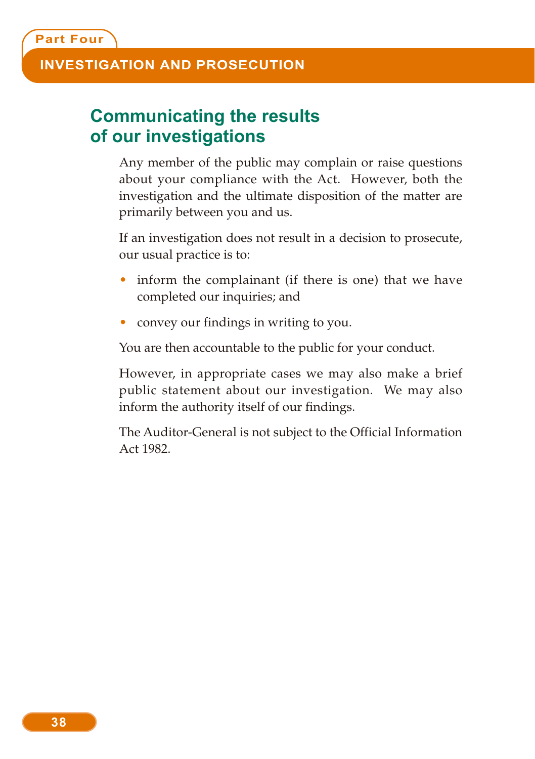#### **INVESTIGATION AND PROSECUTION**

## **Communicating the results of our investigations**

Any member of the public may complain or raise questions about your compliance with the Act. However, both the investigation and the ultimate disposition of the matter are primarily between you and us.

If an investigation does not result in a decision to prosecute, our usual practice is to:

- inform the complainant (if there is one) that we have completed our inquiries; and
- convey our findings in writing to you.

You are then accountable to the public for your conduct.

However, in appropriate cases we may also make a brief public statement about our investigation. We may also inform the authority itself of our findings.

The Auditor-General is not subject to the Official Information Act 1982.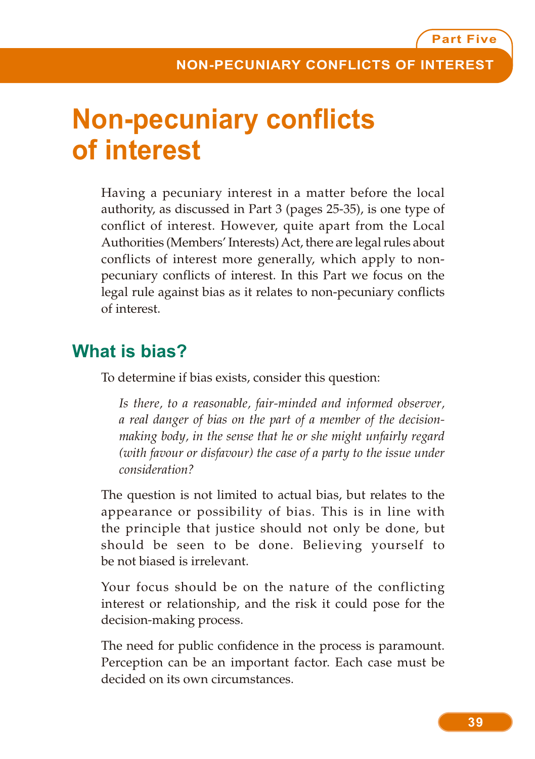# **Non-pecuniary conflicts of interest**

Having a pecuniary interest in a matter before the local authority, as discussed in Part 3 (pages 25-35), is one type of conflict of interest. However, quite apart from the Local Authorities (Members' Interests) Act, there are legal rules about conflicts of interest more generally, which apply to nonpecuniary conflicts of interest. In this Part we focus on the legal rule against bias as it relates to non-pecuniary conflicts of interest.

# **What is bias?**

To determine if bias exists, consider this question:

*Is there, to a reasonable, fair-minded and informed observer, a real danger of bias on the part of a member of the decisionmaking body, in the sense that he or she might unfairly regard (with favour or disfavour) the case of a party to the issue under consideration?*

The question is not limited to actual bias, but relates to the appearance or possibility of bias. This is in line with the principle that justice should not only be done, but should be seen to be done. Believing yourself to be not biased is irrelevant.

Your focus should be on the nature of the conflicting interest or relationship, and the risk it could pose for the decision-making process.

The need for public confidence in the process is paramount. Perception can be an important factor. Each case must be decided on its own circumstances.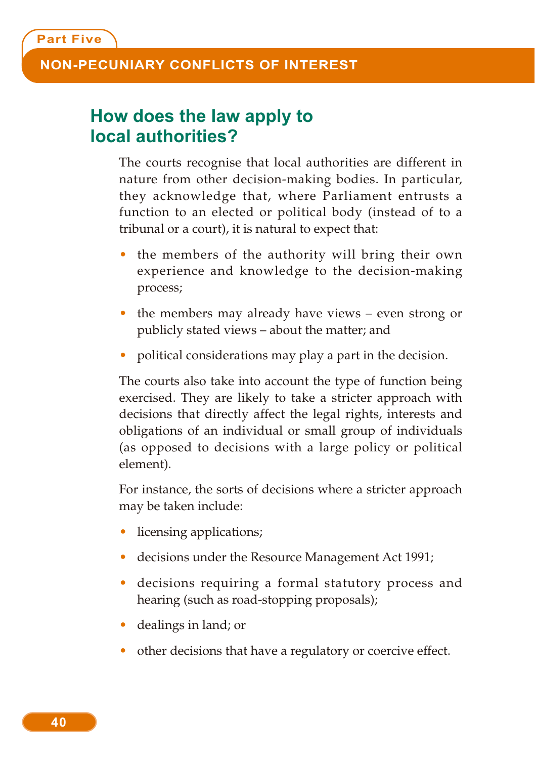## **How does the law apply to local authorities?**

The courts recognise that local authorities are different in nature from other decision-making bodies. In particular, they acknowledge that, where Parliament entrusts a function to an elected or political body (instead of to a tribunal or a court), it is natural to expect that:

- the members of the authority will bring their own experience and knowledge to the decision-making process;
- the members may already have views even strong or publicly stated views – about the matter; and
- political considerations may play a part in the decision.

The courts also take into account the type of function being exercised. They are likely to take a stricter approach with decisions that directly affect the legal rights, interests and obligations of an individual or small group of individuals (as opposed to decisions with a large policy or political element).

For instance, the sorts of decisions where a stricter approach may be taken include:

- licensing applications;
- decisions under the Resource Management Act 1991;
- decisions requiring a formal statutory process and hearing (such as road-stopping proposals);
- dealings in land; or
- other decisions that have a regulatory or coercive effect.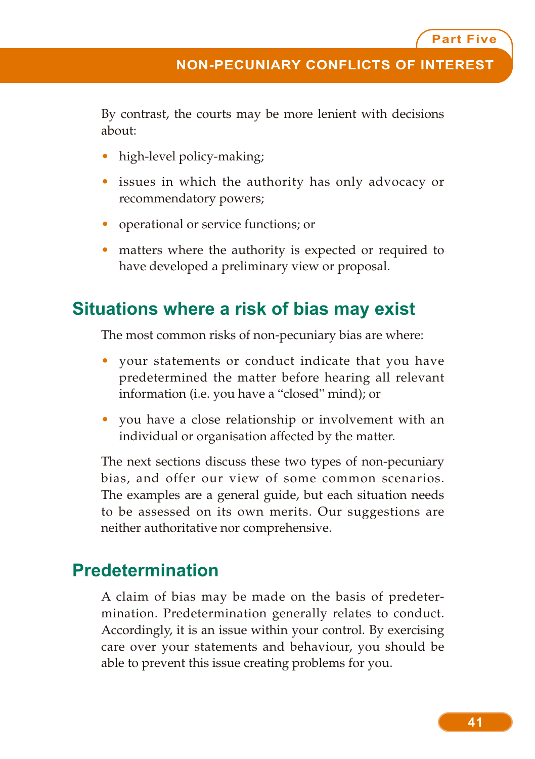By contrast, the courts may be more lenient with decisions about:

- high-level policy-making;
- issues in which the authority has only advocacy or recommendatory powers;
- operational or service functions; or
- matters where the authority is expected or required to have developed a preliminary view or proposal.

## **Situations where a risk of bias may exist**

The most common risks of non-pecuniary bias are where:

- your statements or conduct indicate that you have predetermined the matter before hearing all relevant information (i.e. you have a "closed" mind); or
- you have a close relationship or involvement with an individual or organisation affected by the matter.

The next sections discuss these two types of non-pecuniary bias, and offer our view of some common scenarios. The examples are a general guide, but each situation needs to be assessed on its own merits. Our suggestions are neither authoritative nor comprehensive.

# **Predetermination**

A claim of bias may be made on the basis of predetermination. Predetermination generally relates to conduct. Accordingly, it is an issue within your control. By exercising care over your statements and behaviour, you should be able to prevent this issue creating problems for you.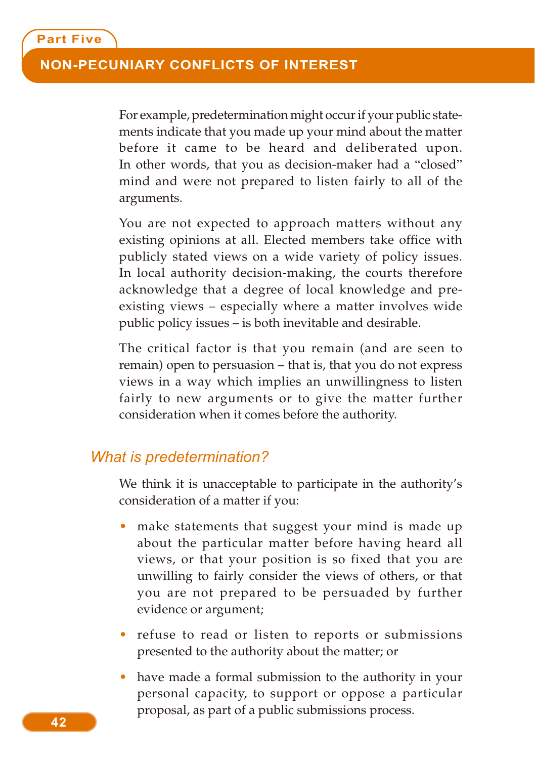For example, predetermination might occur if your public statements indicate that you made up your mind about the matter before it came to be heard and deliberated upon. In other words, that you as decision-maker had a "closed" mind and were not prepared to listen fairly to all of the arguments.

You are not expected to approach matters without any existing opinions at all. Elected members take office with publicly stated views on a wide variety of policy issues. In local authority decision-making, the courts therefore acknowledge that a degree of local knowledge and preexisting views – especially where a matter involves wide public policy issues – is both inevitable and desirable.

The critical factor is that you remain (and are seen to remain) open to persuasion – that is, that you do not express views in a way which implies an unwillingness to listen fairly to new arguments or to give the matter further consideration when it comes before the authority.

#### *What is predetermination?*

We think it is unacceptable to participate in the authority's consideration of a matter if you:

- make statements that suggest your mind is made up about the particular matter before having heard all views, or that your position is so fixed that you are unwilling to fairly consider the views of others, or that you are not prepared to be persuaded by further evidence or argument;
- refuse to read or listen to reports or submissions presented to the authority about the matter; or
- have made a formal submission to the authority in your personal capacity, to support or oppose a particular proposal, as part of a public submissions process.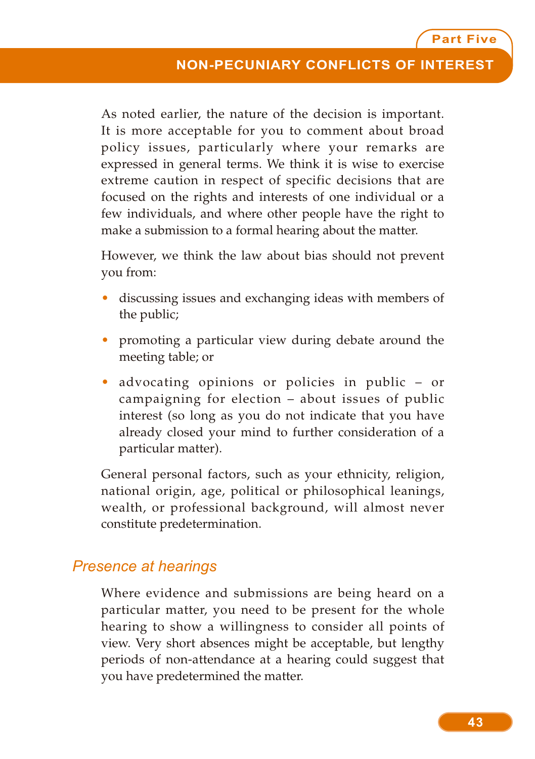As noted earlier, the nature of the decision is important. It is more acceptable for you to comment about broad policy issues, particularly where your remarks are expressed in general terms. We think it is wise to exercise extreme caution in respect of specific decisions that are focused on the rights and interests of one individual or a few individuals, and where other people have the right to make a submission to a formal hearing about the matter.

However, we think the law about bias should not prevent you from:

- discussing issues and exchanging ideas with members of the public;
- promoting a particular view during debate around the meeting table; or
- advocating opinions or policies in public or campaigning for election – about issues of public interest (so long as you do not indicate that you have already closed your mind to further consideration of a particular matter).

General personal factors, such as your ethnicity, religion, national origin, age, political or philosophical leanings, wealth, or professional background, will almost never constitute predetermination.

### *Presence at hearings*

Where evidence and submissions are being heard on a particular matter, you need to be present for the whole hearing to show a willingness to consider all points of view. Very short absences might be acceptable, but lengthy periods of non-attendance at a hearing could suggest that you have predetermined the matter.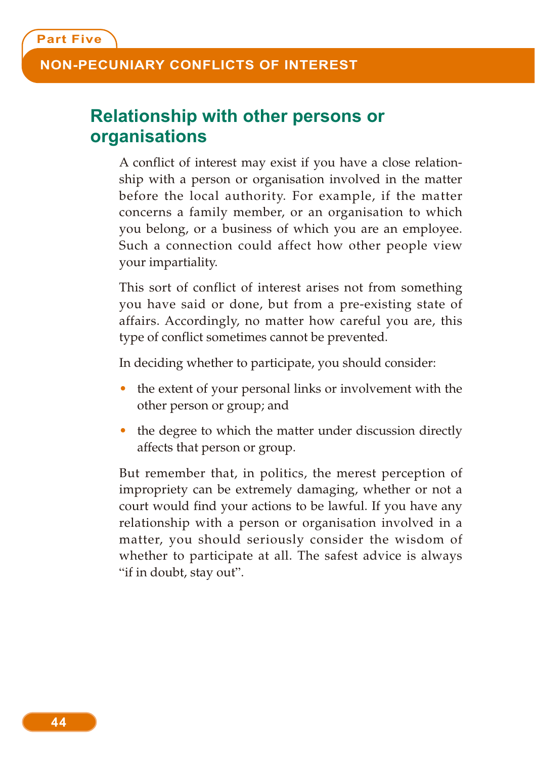## **Relationship with other persons or organisations**

A conflict of interest may exist if you have a close relationship with a person or organisation involved in the matter before the local authority. For example, if the matter concerns a family member, or an organisation to which you belong, or a business of which you are an employee. Such a connection could affect how other people view your impartiality.

This sort of conflict of interest arises not from something you have said or done, but from a pre-existing state of affairs. Accordingly, no matter how careful you are, this type of conflict sometimes cannot be prevented.

In deciding whether to participate, you should consider:

- the extent of your personal links or involvement with the other person or group; and
- the degree to which the matter under discussion directly affects that person or group.

But remember that, in politics, the merest perception of impropriety can be extremely damaging, whether or not a court would find your actions to be lawful. If you have any relationship with a person or organisation involved in a matter, you should seriously consider the wisdom of whether to participate at all. The safest advice is always "if in doubt, stay out".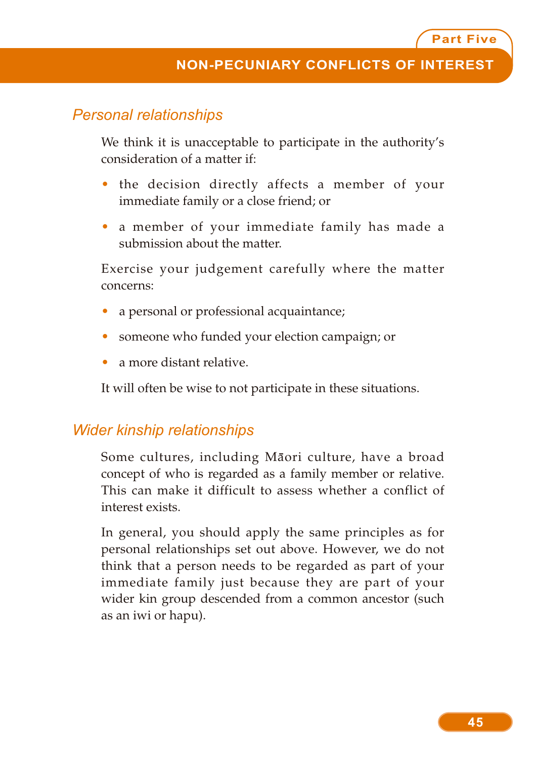#### *Personal relationships*

We think it is unacceptable to participate in the authority's consideration of a matter if:

- the decision directly affects a member of your immediate family or a close friend; or
- a member of your immediate family has made a submission about the matter.

Exercise your judgement carefully where the matter concerns:

- a personal or professional acquaintance;
- someone who funded your election campaign; or
- a more distant relative.

It will often be wise to not participate in these situations.

#### *Wider kinship relationships*

Some cultures, including Maori culture, have a broad concept of who is regarded as a family member or relative. This can make it difficult to assess whether a conflict of interest exists.

In general, you should apply the same principles as for personal relationships set out above. However, we do not think that a person needs to be regarded as part of your immediate family just because they are part of your wider kin group descended from a common ancestor (such as an iwi or hapu).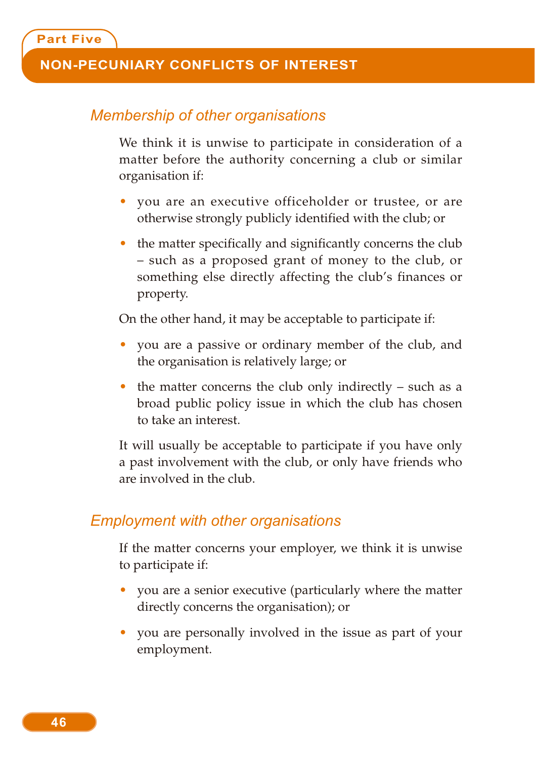#### *Membership of other organisations*

We think it is unwise to participate in consideration of a matter before the authority concerning a club or similar organisation if:

- you are an executive officeholder or trustee, or are otherwise strongly publicly identified with the club; or
- the matter specifically and significantly concerns the club – such as a proposed grant of money to the club, or something else directly affecting the club's finances or property.

On the other hand, it may be acceptable to participate if:

- you are a passive or ordinary member of the club, and the organisation is relatively large; or
- the matter concerns the club only indirectly such as a broad public policy issue in which the club has chosen to take an interest.

It will usually be acceptable to participate if you have only a past involvement with the club, or only have friends who are involved in the club.

#### *Employment with other organisations*

If the matter concerns your employer, we think it is unwise to participate if:

- you are a senior executive (particularly where the matter directly concerns the organisation); or
- you are personally involved in the issue as part of your employment.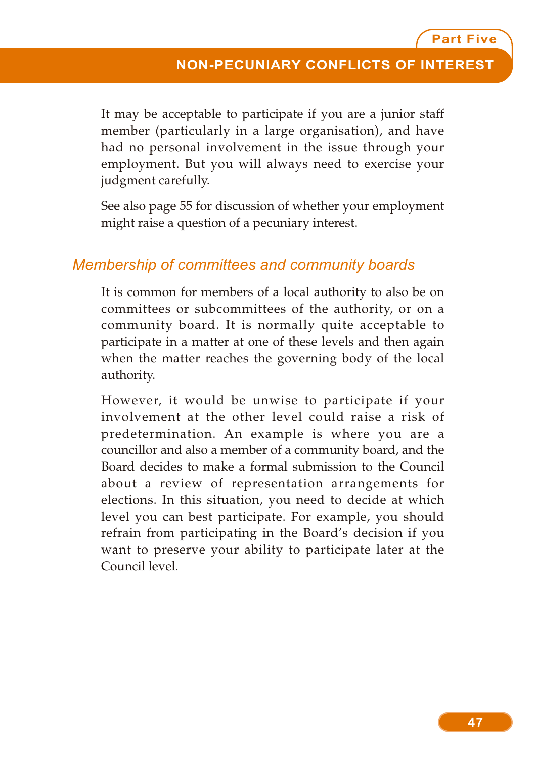It may be acceptable to participate if you are a junior staff member (particularly in a large organisation), and have had no personal involvement in the issue through your employment. But you will always need to exercise your judgment carefully.

See also page 55 for discussion of whether your employment might raise a question of a pecuniary interest.

#### *Membership of committees and community boards*

It is common for members of a local authority to also be on committees or subcommittees of the authority, or on a community board. It is normally quite acceptable to participate in a matter at one of these levels and then again when the matter reaches the governing body of the local authority.

However, it would be unwise to participate if your involvement at the other level could raise a risk of predetermination. An example is where you are a councillor and also a member of a community board, and the Board decides to make a formal submission to the Council about a review of representation arrangements for elections. In this situation, you need to decide at which level you can best participate. For example, you should refrain from participating in the Board's decision if you want to preserve your ability to participate later at the Council level.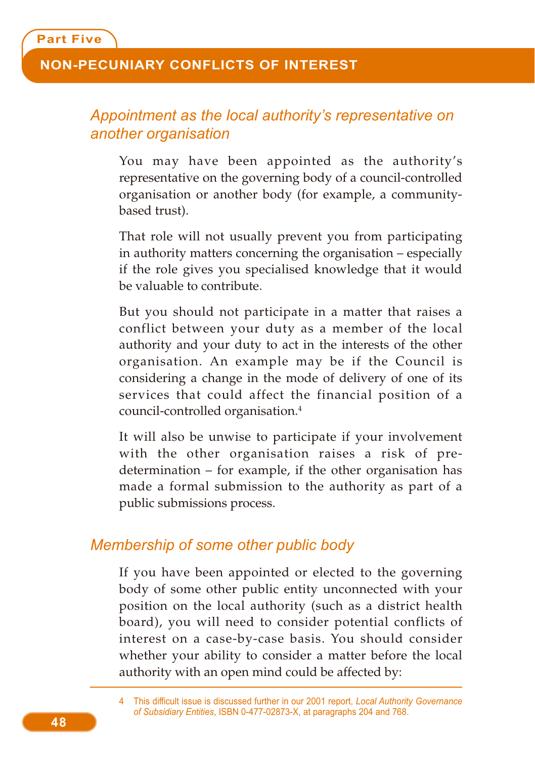# *Appointment as the local authority's representative on another organisation*

You may have been appointed as the authority's representative on the governing body of a council-controlled organisation or another body (for example, a communitybased trust).

That role will not usually prevent you from participating in authority matters concerning the organisation – especially if the role gives you specialised knowledge that it would be valuable to contribute.

But you should not participate in a matter that raises a conflict between your duty as a member of the local authority and your duty to act in the interests of the other organisation. An example may be if the Council is considering a change in the mode of delivery of one of its services that could affect the financial position of a council-controlled organisation.4

It will also be unwise to participate if your involvement with the other organisation raises a risk of predetermination – for example, if the other organisation has made a formal submission to the authority as part of a public submissions process.

#### *Membership of some other public body*

If you have been appointed or elected to the governing body of some other public entity unconnected with your position on the local authority (such as a district health board), you will need to consider potential conflicts of interest on a case-by-case basis. You should consider whether your ability to consider a matter before the local authority with an open mind could be affected by:

<sup>4</sup> This difficult issue is discussed further in our 2001 report, *Local Authority Governance of Subsidiary Entities*, ISBN 0-477-02873-X, at paragraphs 204 and 768.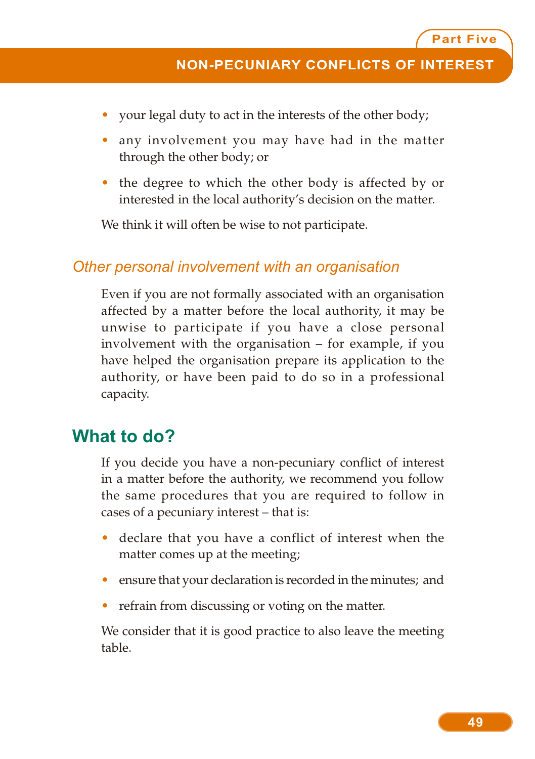- your legal duty to act in the interests of the other body;
- any involvement you may have had in the matter through the other body; or
- the degree to which the other body is affected by or interested in the local authority's decision on the matter.

We think it will often be wise to not participate.

#### *Other personal involvement with an organisation*

Even if you are not formally associated with an organisation affected by a matter before the local authority, it may be unwise to participate if you have a close personal involvement with the organisation – for example, if you have helped the organisation prepare its application to the authority, or have been paid to do so in a professional capacity.

### **What to do?**

If you decide you have a non-pecuniary conflict of interest in a matter before the authority, we recommend you follow the same procedures that you are required to follow in cases of a pecuniary interest – that is:

- declare that you have a conflict of interest when the matter comes up at the meeting;
- ensure that your declaration is recorded in the minutes; and
- refrain from discussing or voting on the matter.

We consider that it is good practice to also leave the meeting table.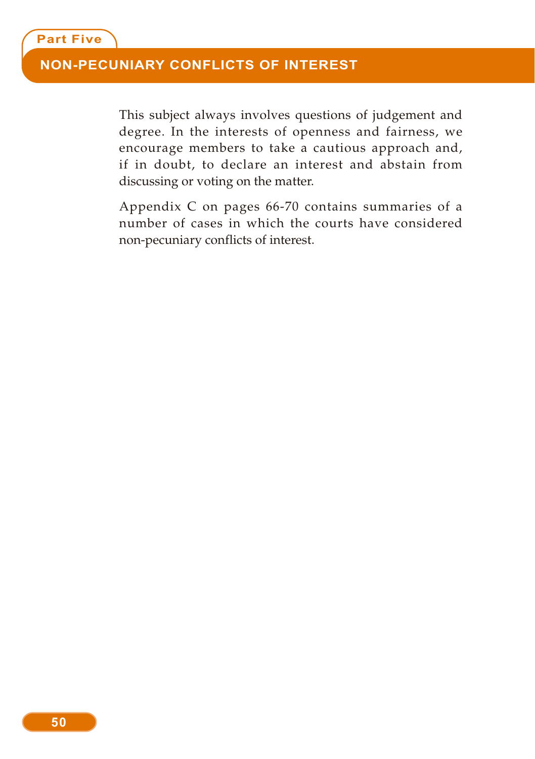This subject always involves questions of judgement and degree. In the interests of openness and fairness, we encourage members to take a cautious approach and, if in doubt, to declare an interest and abstain from discussing or voting on the matter.

Appendix C on pages 66-70 contains summaries of a number of cases in which the courts have considered non-pecuniary conflicts of interest.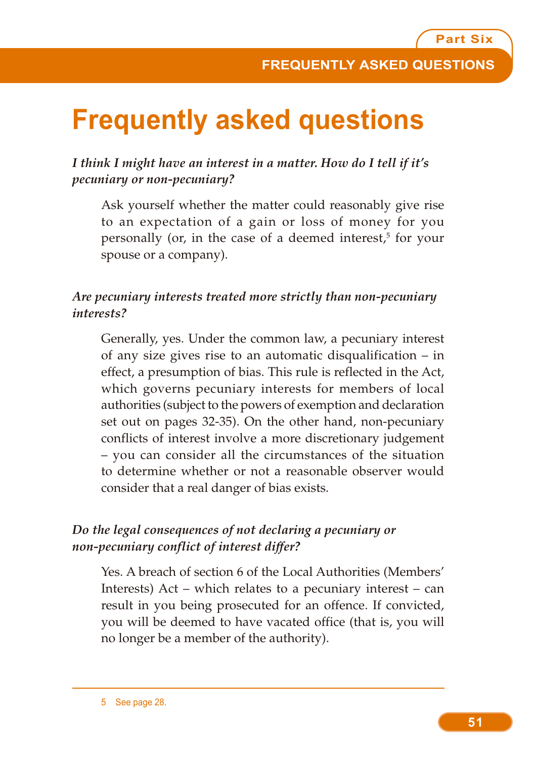# **Frequently asked questions**

*I think I might have an interest in a matter. How do I tell if it's pecuniary or non-pecuniary?*

Ask yourself whether the matter could reasonably give rise to an expectation of a gain or loss of money for you personally (or, in the case of a deemed interest,<sup>5</sup> for your spouse or a company).

#### *Are pecuniary interests treated more strictly than non-pecuniary interests?*

Generally, yes. Under the common law, a pecuniary interest of any size gives rise to an automatic disqualification – in effect, a presumption of bias. This rule is reflected in the Act, which governs pecuniary interests for members of local authorities (subject to the powers of exemption and declaration set out on pages 32-35). On the other hand, non-pecuniary conflicts of interest involve a more discretionary judgement – you can consider all the circumstances of the situation to determine whether or not a reasonable observer would consider that a real danger of bias exists.

#### *Do the legal consequences of not declaring a pecuniary or non-pecuniary conflict of interest differ?*

Yes. A breach of section 6 of the Local Authorities (Members' Interests) Act – which relates to a pecuniary interest – can result in you being prosecuted for an offence. If convicted, you will be deemed to have vacated office (that is, you will no longer be a member of the authority).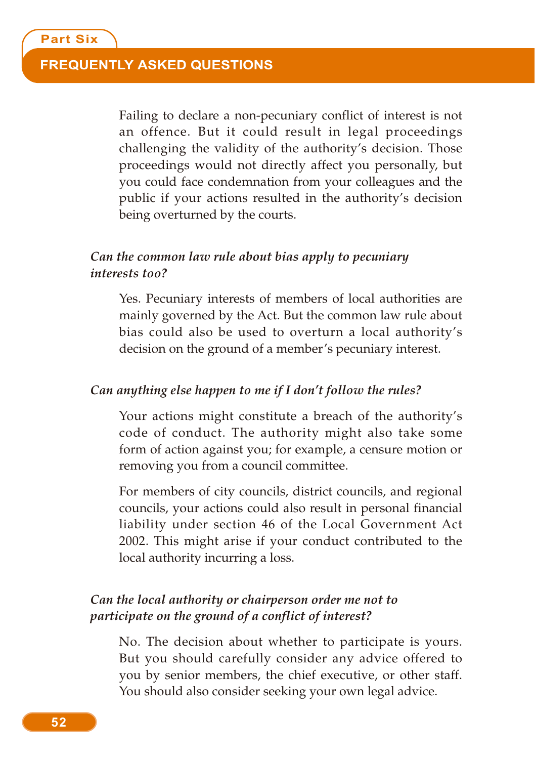#### **FREQUENTLY ASKED QUESTIONS**

Failing to declare a non-pecuniary conflict of interest is not an offence. But it could result in legal proceedings challenging the validity of the authority's decision. Those proceedings would not directly affect you personally, but you could face condemnation from your colleagues and the public if your actions resulted in the authority's decision being overturned by the courts.

#### *Can the common law rule about bias apply to pecuniary interests too?*

Yes. Pecuniary interests of members of local authorities are mainly governed by the Act. But the common law rule about bias could also be used to overturn a local authority's decision on the ground of a member's pecuniary interest.

#### *Can anything else happen to me if I don't follow the rules?*

Your actions might constitute a breach of the authority's code of conduct. The authority might also take some form of action against you; for example, a censure motion or removing you from a council committee.

For members of city councils, district councils, and regional councils, your actions could also result in personal financial liability under section 46 of the Local Government Act 2002. This might arise if your conduct contributed to the local authority incurring a loss.

#### *Can the local authority or chairperson order me not to participate on the ground of a conflict of interest?*

No. The decision about whether to participate is yours. But you should carefully consider any advice offered to you by senior members, the chief executive, or other staff. You should also consider seeking your own legal advice.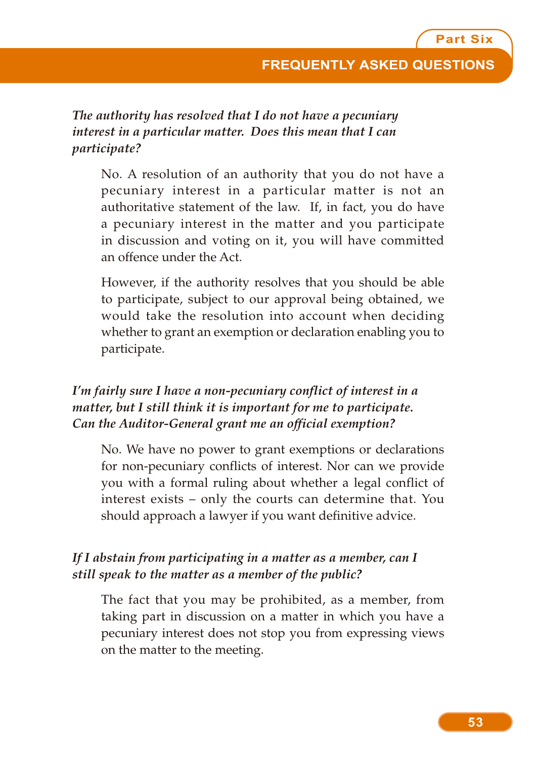*The authority has resolved that I do not have a pecuniary interest in a particular matter. Does this mean that I can participate?*

No. A resolution of an authority that you do not have a pecuniary interest in a particular matter is not an authoritative statement of the law. If, in fact, you do have a pecuniary interest in the matter and you participate in discussion and voting on it, you will have committed an offence under the Act.

However, if the authority resolves that you should be able to participate, subject to our approval being obtained, we would take the resolution into account when deciding whether to grant an exemption or declaration enabling you to participate.

#### *I'm fairly sure I have a non-pecuniary conflict of interest in a matter, but I still think it is important for me to participate. Can the Auditor-General grant me an official exemption?*

No. We have no power to grant exemptions or declarations for non-pecuniary conflicts of interest. Nor can we provide you with a formal ruling about whether a legal conflict of interest exists – only the courts can determine that. You should approach a lawyer if you want definitive advice.

#### *If I abstain from participating in a matter as a member, can I still speak to the matter as a member of the public?*

The fact that you may be prohibited, as a member, from taking part in discussion on a matter in which you have a pecuniary interest does not stop you from expressing views on the matter to the meeting.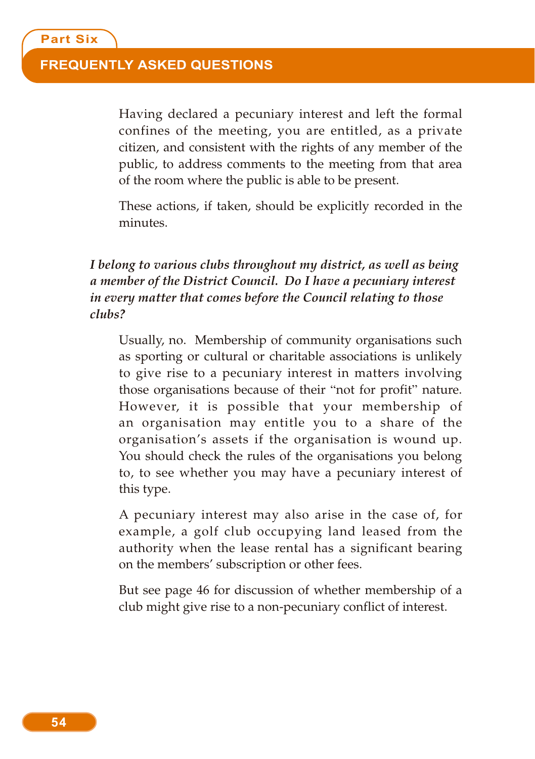#### **FREQUENTLY ASKED QUESTIONS**

Having declared a pecuniary interest and left the formal confines of the meeting, you are entitled, as a private citizen, and consistent with the rights of any member of the public, to address comments to the meeting from that area of the room where the public is able to be present.

These actions, if taken, should be explicitly recorded in the minutes.

#### *I belong to various clubs throughout my district, as well as being a member of the District Council. Do I have a pecuniary interest in every matter that comes before the Council relating to those clubs?*

Usually, no. Membership of community organisations such as sporting or cultural or charitable associations is unlikely to give rise to a pecuniary interest in matters involving those organisations because of their "not for profit" nature. However, it is possible that your membership of an organisation may entitle you to a share of the organisation's assets if the organisation is wound up. You should check the rules of the organisations you belong to, to see whether you may have a pecuniary interest of this type.

A pecuniary interest may also arise in the case of, for example, a golf club occupying land leased from the authority when the lease rental has a significant bearing on the members' subscription or other fees.

But see page 46 for discussion of whether membership of a club might give rise to a non-pecuniary conflict of interest.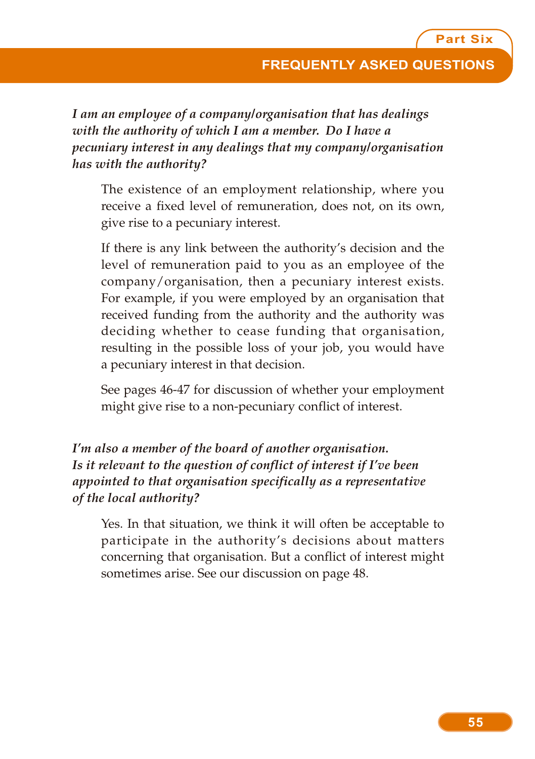*I am an employee of a company/organisation that has dealings with the authority of which I am a member. Do I have a pecuniary interest in any dealings that my company/organisation has with the authority?*

The existence of an employment relationship, where you receive a fixed level of remuneration, does not, on its own, give rise to a pecuniary interest.

If there is any link between the authority's decision and the level of remuneration paid to you as an employee of the company/organisation, then a pecuniary interest exists. For example, if you were employed by an organisation that received funding from the authority and the authority was deciding whether to cease funding that organisation, resulting in the possible loss of your job, you would have a pecuniary interest in that decision.

See pages 46-47 for discussion of whether your employment might give rise to a non-pecuniary conflict of interest.

#### *I'm also a member of the board of another organisation. Is it relevant to the question of conflict of interest if I've been appointed to that organisation specifically as a representative of the local authority?*

Yes. In that situation, we think it will often be acceptable to participate in the authority's decisions about matters concerning that organisation. But a conflict of interest might sometimes arise. See our discussion on page 48.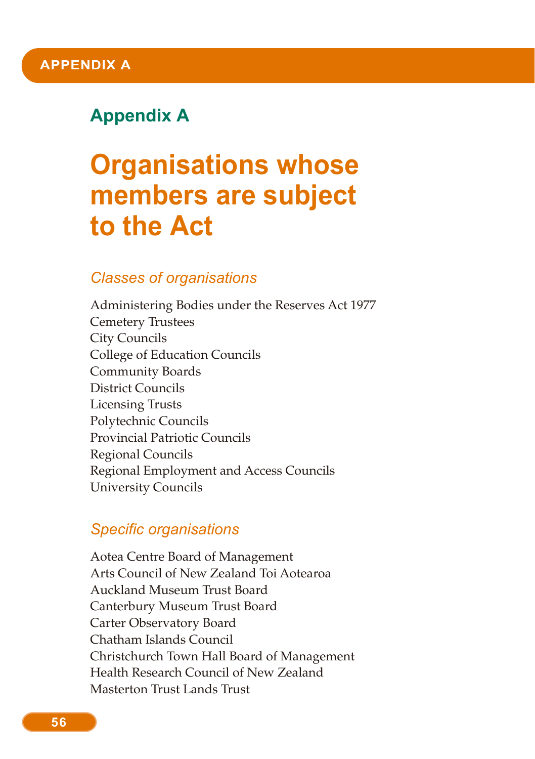# **Appendix A**

# **Organisations whose members are subject to the Act**

#### *Classes of organisations*

Administering Bodies under the Reserves Act 1977 Cemetery Trustees City Councils College of Education Councils Community Boards District Councils Licensing Trusts Polytechnic Councils Provincial Patriotic Councils Regional Councils Regional Employment and Access Councils University Councils

#### *Specific organisations*

Aotea Centre Board of Management Arts Council of New Zealand Toi Aotearoa Auckland Museum Trust Board Canterbury Museum Trust Board Carter Observatory Board Chatham Islands Council Christchurch Town Hall Board of Management Health Research Council of New Zealand Masterton Trust Lands Trust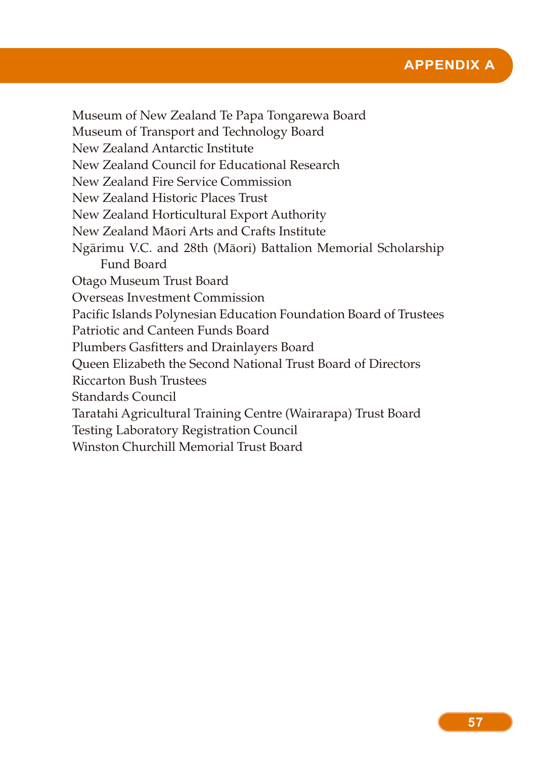

Museum of New Zealand Te Papa Tongarewa Board Museum of Transport and Technology Board New Zealand Antarctic Institute New Zealand Council for Educational Research New Zealand Fire Service Commission New Zealand Historic Places Trust New Zealand Horticultural Export Authority New Zealand Maori Arts and Crafts Institute Ngarimu V.C. and 28th (Maori) Battalion Memorial Scholarship Fund Board Otago Museum Trust Board Overseas Investment Commission Pacific Islands Polynesian Education Foundation Board of Trustees Patriotic and Canteen Funds Board Plumbers Gasfitters and Drainlayers Board Queen Elizabeth the Second National Trust Board of Directors Riccarton Bush Trustees Standards Council Taratahi Agricultural Training Centre (Wairarapa) Trust Board Testing Laboratory Registration Council Winston Churchill Memorial Trust Board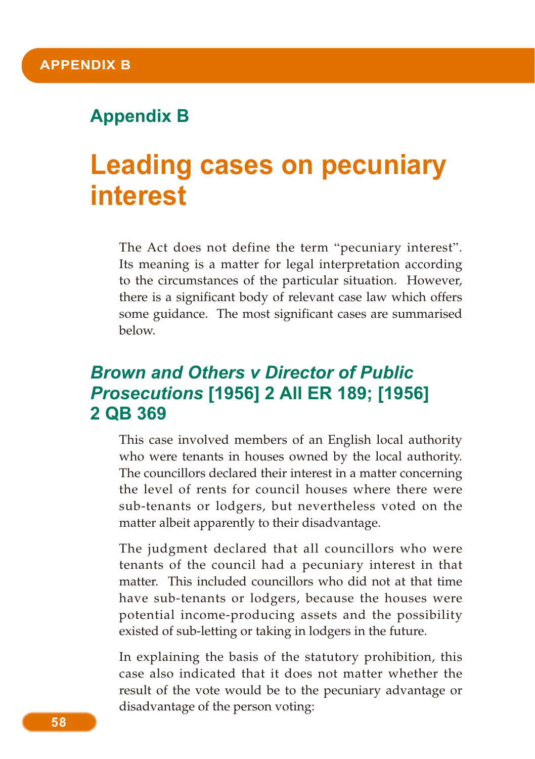## **Appendix B**

# **Leading cases on pecuniary interest**

The Act does not define the term "pecuniary interest". Its meaning is a matter for legal interpretation according to the circumstances of the particular situation. However, there is a significant body of relevant case law which offers some guidance. The most significant cases are summarised below.

# *Brown and Others v Director of Public Prosecutions* **[1956] 2 All ER 189; [1956] 2 QB 369**

This case involved members of an English local authority who were tenants in houses owned by the local authority. The councillors declared their interest in a matter concerning the level of rents for council houses where there were sub-tenants or lodgers, but nevertheless voted on the matter albeit apparently to their disadvantage.

The judgment declared that all councillors who were tenants of the council had a pecuniary interest in that matter. This included councillors who did not at that time have sub-tenants or lodgers, because the houses were potential income-producing assets and the possibility existed of sub-letting or taking in lodgers in the future.

In explaining the basis of the statutory prohibition, this case also indicated that it does not matter whether the result of the vote would be to the pecuniary advantage or disadvantage of the person voting: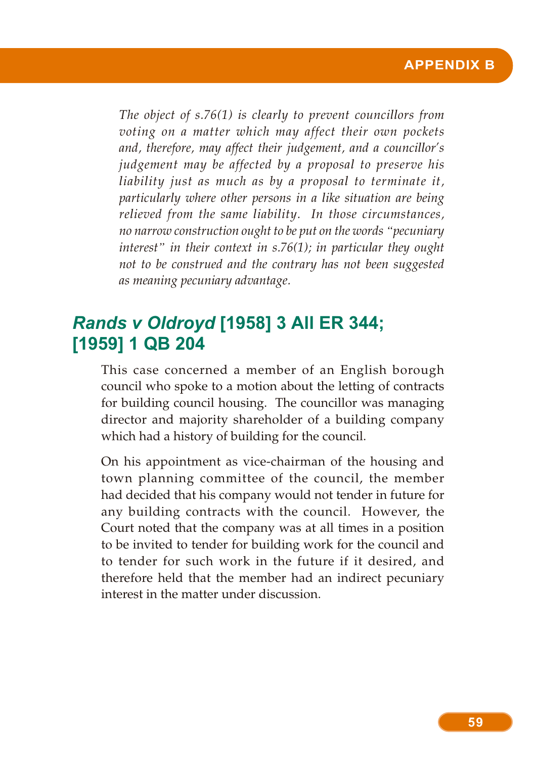*The object of s.76(1) is clearly to prevent councillors from voting on a matter which may affect their own pockets and, therefore, may affect their judgement, and a councillor's judgement may be affected by a proposal to preserve his liability just as much as by a proposal to terminate it, particularly where other persons in a like situation are being relieved from the same liability. In those circumstances, no narrow construction ought to be put on the words "pecuniary interest" in their context in s.76(1); in particular they ought not to be construed and the contrary has not been suggested as meaning pecuniary advantage.*

# *Rands v Oldroyd* **[1958] 3 All ER 344; [1959] 1 QB 204**

This case concerned a member of an English borough council who spoke to a motion about the letting of contracts for building council housing. The councillor was managing director and majority shareholder of a building company which had a history of building for the council.

On his appointment as vice-chairman of the housing and town planning committee of the council, the member had decided that his company would not tender in future for any building contracts with the council. However, the Court noted that the company was at all times in a position to be invited to tender for building work for the council and to tender for such work in the future if it desired, and therefore held that the member had an indirect pecuniary interest in the matter under discussion.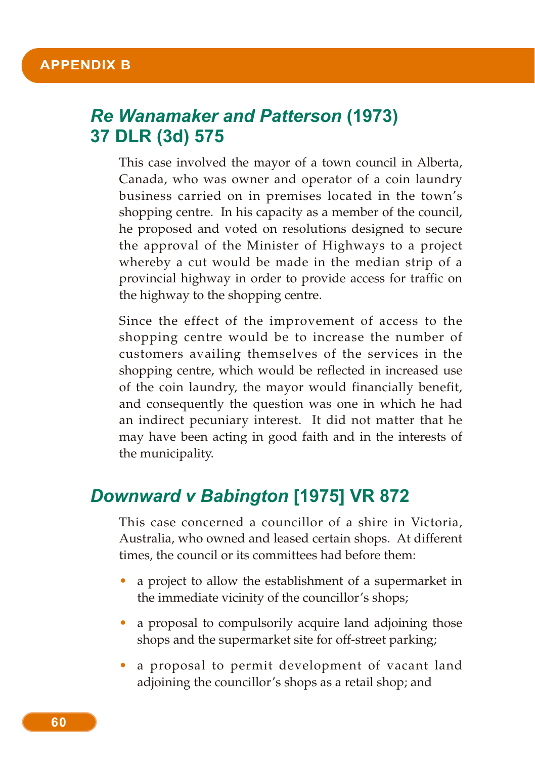#### **APPENDIX B**

# *Re Wanamaker and Patterson* **(1973) 37 DLR (3d) 575**

This case involved the mayor of a town council in Alberta, Canada, who was owner and operator of a coin laundry business carried on in premises located in the town's shopping centre. In his capacity as a member of the council, he proposed and voted on resolutions designed to secure the approval of the Minister of Highways to a project whereby a cut would be made in the median strip of a provincial highway in order to provide access for traffic on the highway to the shopping centre.

Since the effect of the improvement of access to the shopping centre would be to increase the number of customers availing themselves of the services in the shopping centre, which would be reflected in increased use of the coin laundry, the mayor would financially benefit, and consequently the question was one in which he had an indirect pecuniary interest. It did not matter that he may have been acting in good faith and in the interests of the municipality.

### *Downward v Babington* **[1975] VR 872**

This case concerned a councillor of a shire in Victoria, Australia, who owned and leased certain shops. At different times, the council or its committees had before them:

- a project to allow the establishment of a supermarket in the immediate vicinity of the councillor's shops;
- a proposal to compulsorily acquire land adjoining those shops and the supermarket site for off-street parking;
- a proposal to permit development of vacant land adjoining the councillor's shops as a retail shop; and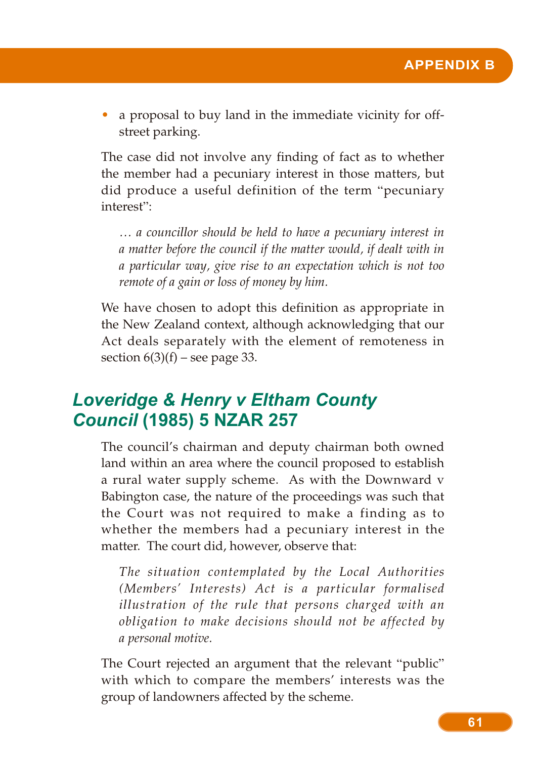a proposal to buy land in the immediate vicinity for offstreet parking.

The case did not involve any finding of fact as to whether the member had a pecuniary interest in those matters, but did produce a useful definition of the term "pecuniary interest":

*… a councillor should be held to have a pecuniary interest in a matter before the council if the matter would, if dealt with in a particular way, give rise to an expectation which is not too remote of a gain or loss of money by him.*

We have chosen to adopt this definition as appropriate in the New Zealand context, although acknowledging that our Act deals separately with the element of remoteness in section  $6(3)(f)$  – see page 33.

## *Loveridge & Henry v Eltham County Council* **(1985) 5 NZAR 257**

The council's chairman and deputy chairman both owned land within an area where the council proposed to establish a rural water supply scheme. As with the Downward v Babington case, the nature of the proceedings was such that the Court was not required to make a finding as to whether the members had a pecuniary interest in the matter. The court did, however, observe that:

*The situation contemplated by the Local Authorities (Members' Interests) Act is a particular formalised illustration of the rule that persons charged with an obligation to make decisions should not be affected by a personal motive.*

The Court rejected an argument that the relevant "public" with which to compare the members' interests was the group of landowners affected by the scheme.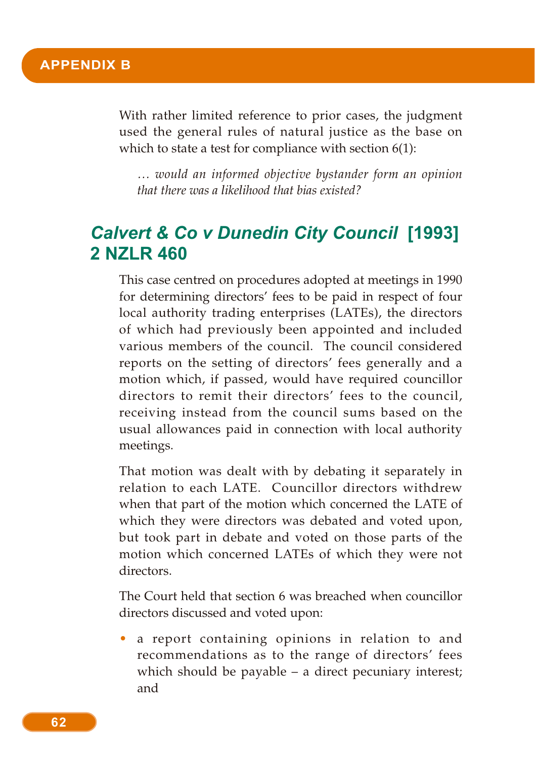With rather limited reference to prior cases, the judgment used the general rules of natural justice as the base on which to state a test for compliance with section 6(1):

*… would an informed objective bystander form an opinion that there was a likelihood that bias existed?*

# *Calvert & Co v Dunedin City Council* **[1993] 2 NZLR 460**

This case centred on procedures adopted at meetings in 1990 for determining directors' fees to be paid in respect of four local authority trading enterprises (LATEs), the directors of which had previously been appointed and included various members of the council. The council considered reports on the setting of directors' fees generally and a motion which, if passed, would have required councillor directors to remit their directors' fees to the council, receiving instead from the council sums based on the usual allowances paid in connection with local authority meetings.

That motion was dealt with by debating it separately in relation to each LATE. Councillor directors withdrew when that part of the motion which concerned the LATE of which they were directors was debated and voted upon, but took part in debate and voted on those parts of the motion which concerned LATEs of which they were not directors.

The Court held that section 6 was breached when councillor directors discussed and voted upon:

• a report containing opinions in relation to and recommendations as to the range of directors' fees which should be payable – a direct pecuniary interest; and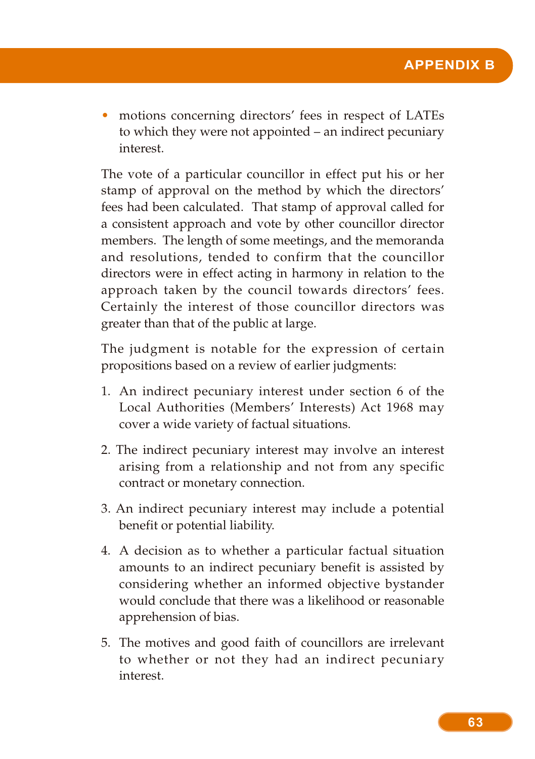• motions concerning directors' fees in respect of LATEs to which they were not appointed – an indirect pecuniary interest.

The vote of a particular councillor in effect put his or her stamp of approval on the method by which the directors' fees had been calculated. That stamp of approval called for a consistent approach and vote by other councillor director members. The length of some meetings, and the memoranda and resolutions, tended to confirm that the councillor directors were in effect acting in harmony in relation to the approach taken by the council towards directors' fees. Certainly the interest of those councillor directors was greater than that of the public at large.

The judgment is notable for the expression of certain propositions based on a review of earlier judgments:

- 1. An indirect pecuniary interest under section 6 of the Local Authorities (Members' Interests) Act 1968 may cover a wide variety of factual situations.
- 2. The indirect pecuniary interest may involve an interest arising from a relationship and not from any specific contract or monetary connection.
- 3. An indirect pecuniary interest may include a potential benefit or potential liability.
- 4. A decision as to whether a particular factual situation amounts to an indirect pecuniary benefit is assisted by considering whether an informed objective bystander would conclude that there was a likelihood or reasonable apprehension of bias.
- 5. The motives and good faith of councillors are irrelevant to whether or not they had an indirect pecuniary interest.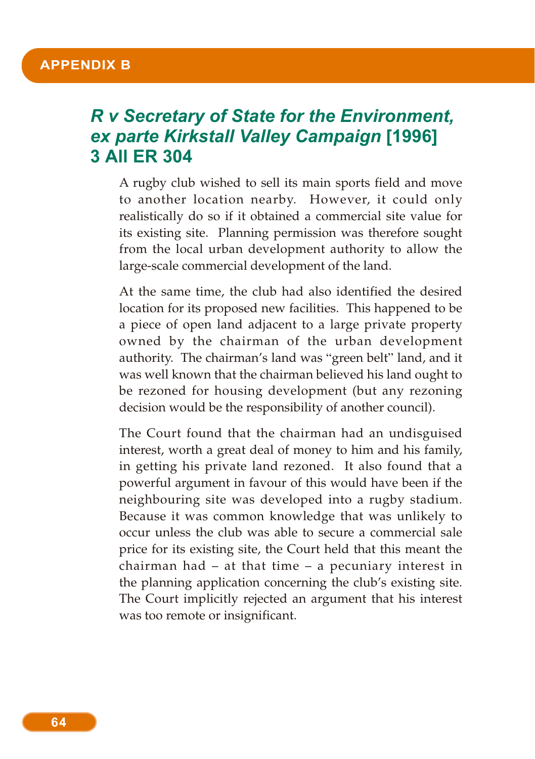## *R v Secretary of State for the Environment, ex parte Kirkstall Valley Campaign* **[1996] 3 All ER 304**

A rugby club wished to sell its main sports field and move to another location nearby. However, it could only realistically do so if it obtained a commercial site value for its existing site. Planning permission was therefore sought from the local urban development authority to allow the large-scale commercial development of the land.

At the same time, the club had also identified the desired location for its proposed new facilities. This happened to be a piece of open land adjacent to a large private property owned by the chairman of the urban development authority. The chairman's land was "green belt" land, and it was well known that the chairman believed his land ought to be rezoned for housing development (but any rezoning decision would be the responsibility of another council).

The Court found that the chairman had an undisguised interest, worth a great deal of money to him and his family, in getting his private land rezoned. It also found that a powerful argument in favour of this would have been if the neighbouring site was developed into a rugby stadium. Because it was common knowledge that was unlikely to occur unless the club was able to secure a commercial sale price for its existing site, the Court held that this meant the chairman had – at that time – a pecuniary interest in the planning application concerning the club's existing site. The Court implicitly rejected an argument that his interest was too remote or insignificant.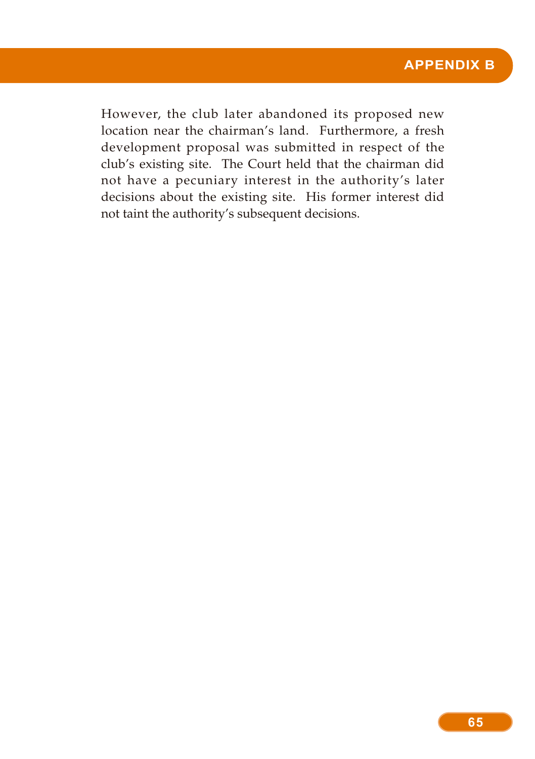However, the club later abandoned its proposed new location near the chairman's land. Furthermore, a fresh development proposal was submitted in respect of the club's existing site. The Court held that the chairman did not have a pecuniary interest in the authority's later decisions about the existing site. His former interest did not taint the authority's subsequent decisions.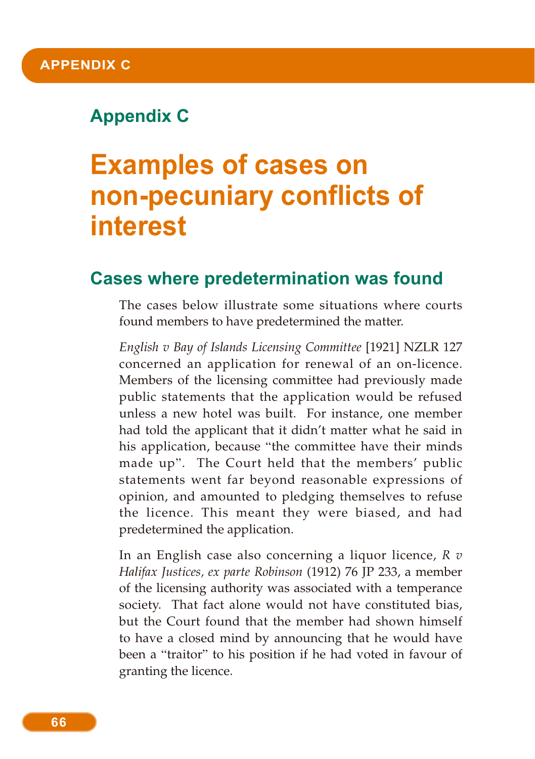# **Appendix C**

# **Examples of cases on non-pecuniary conflicts of interest**

## **Cases where predetermination was found**

The cases below illustrate some situations where courts found members to have predetermined the matter.

*English v Bay of Islands Licensing Committee* [1921] NZLR 127 concerned an application for renewal of an on-licence. Members of the licensing committee had previously made public statements that the application would be refused unless a new hotel was built. For instance, one member had told the applicant that it didn't matter what he said in his application, because "the committee have their minds made up". The Court held that the members' public statements went far beyond reasonable expressions of opinion, and amounted to pledging themselves to refuse the licence. This meant they were biased, and had predetermined the application.

In an English case also concerning a liquor licence, *R v Halifax Justices, ex parte Robinson* (1912) 76 JP 233, a member of the licensing authority was associated with a temperance society. That fact alone would not have constituted bias, but the Court found that the member had shown himself to have a closed mind by announcing that he would have been a "traitor" to his position if he had voted in favour of granting the licence.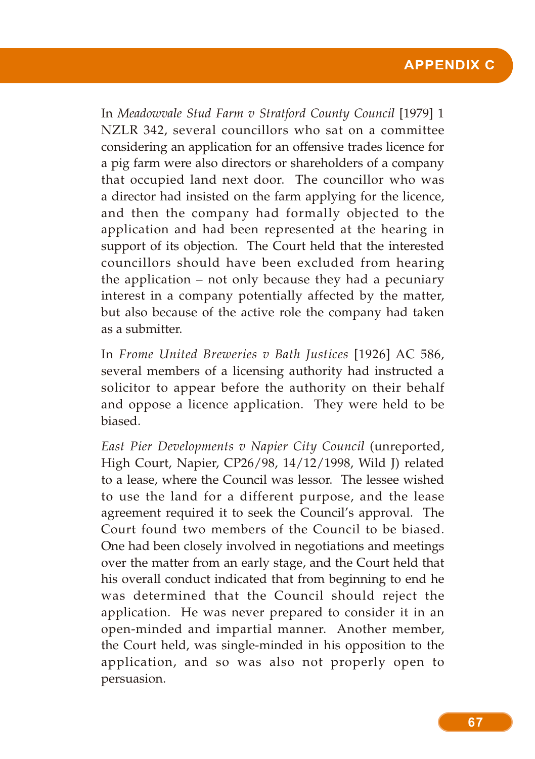#### **APPENDIX C**

In *Meadowvale Stud Farm v Stratford County Council* [1979] 1 NZLR 342, several councillors who sat on a committee considering an application for an offensive trades licence for a pig farm were also directors or shareholders of a company that occupied land next door. The councillor who was a director had insisted on the farm applying for the licence, and then the company had formally objected to the application and had been represented at the hearing in support of its objection. The Court held that the interested councillors should have been excluded from hearing the application – not only because they had a pecuniary interest in a company potentially affected by the matter, but also because of the active role the company had taken as a submitter.

In *Frome United Breweries v Bath Justices* [1926] AC 586, several members of a licensing authority had instructed a solicitor to appear before the authority on their behalf and oppose a licence application. They were held to be biased.

*East Pier Developments v Napier City Council* (unreported, High Court, Napier, CP26/98, 14/12/1998, Wild J) related to a lease, where the Council was lessor. The lessee wished to use the land for a different purpose, and the lease agreement required it to seek the Council's approval. The Court found two members of the Council to be biased. One had been closely involved in negotiations and meetings over the matter from an early stage, and the Court held that his overall conduct indicated that from beginning to end he was determined that the Council should reject the application. He was never prepared to consider it in an open-minded and impartial manner. Another member, the Court held, was single-minded in his opposition to the application, and so was also not properly open to persuasion.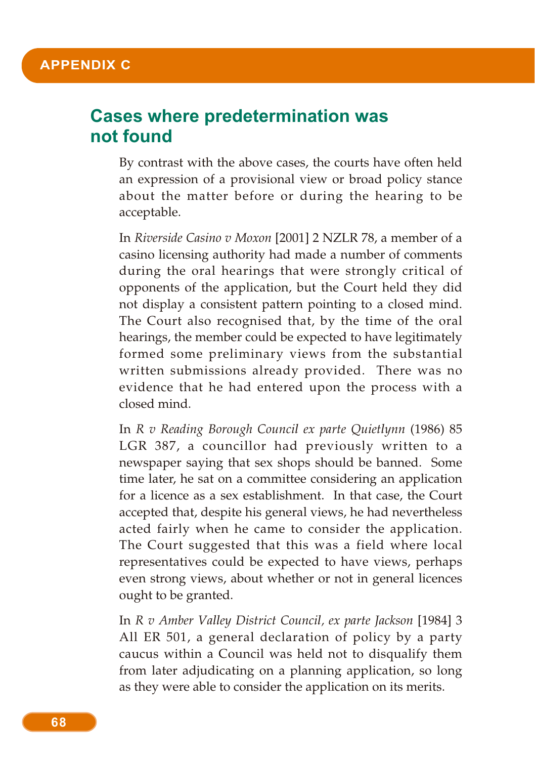## **Cases where predetermination was not found**

By contrast with the above cases, the courts have often held an expression of a provisional view or broad policy stance about the matter before or during the hearing to be acceptable.

In *Riverside Casino v Moxon* [2001] 2 NZLR 78, a member of a casino licensing authority had made a number of comments during the oral hearings that were strongly critical of opponents of the application, but the Court held they did not display a consistent pattern pointing to a closed mind. The Court also recognised that, by the time of the oral hearings, the member could be expected to have legitimately formed some preliminary views from the substantial written submissions already provided. There was no evidence that he had entered upon the process with a closed mind.

In *R v Reading Borough Council ex parte Quietlynn* (1986) 85 LGR 387, a councillor had previously written to a newspaper saying that sex shops should be banned. Some time later, he sat on a committee considering an application for a licence as a sex establishment. In that case, the Court accepted that, despite his general views, he had nevertheless acted fairly when he came to consider the application. The Court suggested that this was a field where local representatives could be expected to have views, perhaps even strong views, about whether or not in general licences ought to be granted.

In *R v Amber Valley District Council, ex parte Jackson* [1984] 3 All ER 501, a general declaration of policy by a party caucus within a Council was held not to disqualify them from later adjudicating on a planning application, so long as they were able to consider the application on its merits.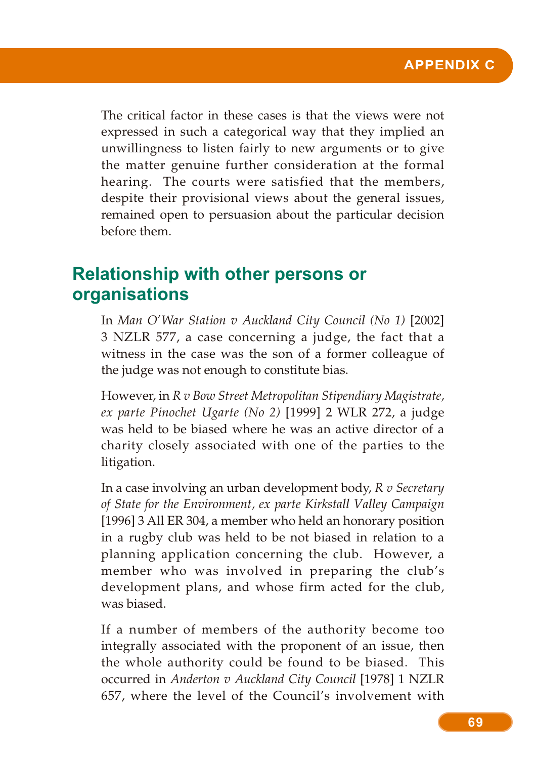The critical factor in these cases is that the views were not expressed in such a categorical way that they implied an unwillingness to listen fairly to new arguments or to give the matter genuine further consideration at the formal hearing. The courts were satisfied that the members, despite their provisional views about the general issues, remained open to persuasion about the particular decision before them.

## **Relationship with other persons or organisations**

In *Man O'War Station v Auckland City Council (No 1)* [2002] 3 NZLR 577, a case concerning a judge, the fact that a witness in the case was the son of a former colleague of the judge was not enough to constitute bias.

However, in *R v Bow Street Metropolitan Stipendiary Magistrate, ex parte Pinochet Ugarte (No 2)* [1999] 2 WLR 272, a judge was held to be biased where he was an active director of a charity closely associated with one of the parties to the litigation.

In a case involving an urban development body, *R v Secretary of State for the Environment, ex parte Kirkstall Valley Campaign* [1996] 3 All ER 304, a member who held an honorary position in a rugby club was held to be not biased in relation to a planning application concerning the club. However, a member who was involved in preparing the club's development plans, and whose firm acted for the club, was biased.

If a number of members of the authority become too integrally associated with the proponent of an issue, then the whole authority could be found to be biased. This occurred in *Anderton v Auckland City Council* [1978] 1 NZLR 657, where the level of the Council's involvement with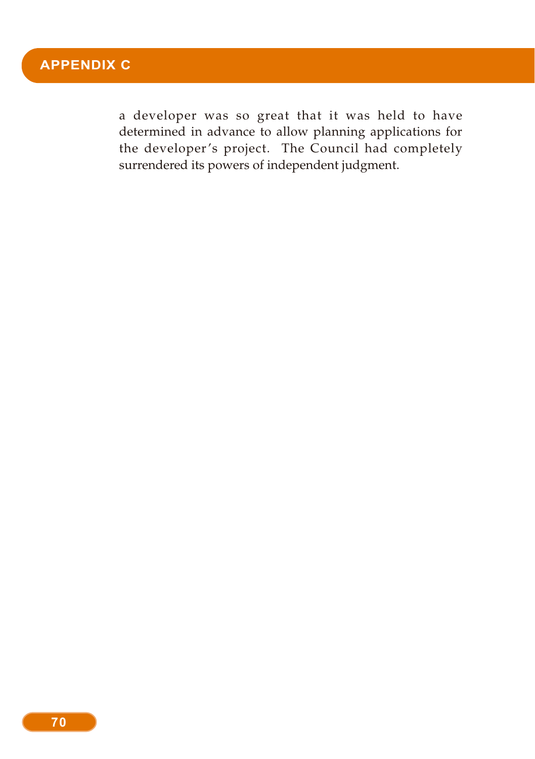a developer was so great that it was held to have determined in advance to allow planning applications for the developer's project. The Council had completely surrendered its powers of independent judgment.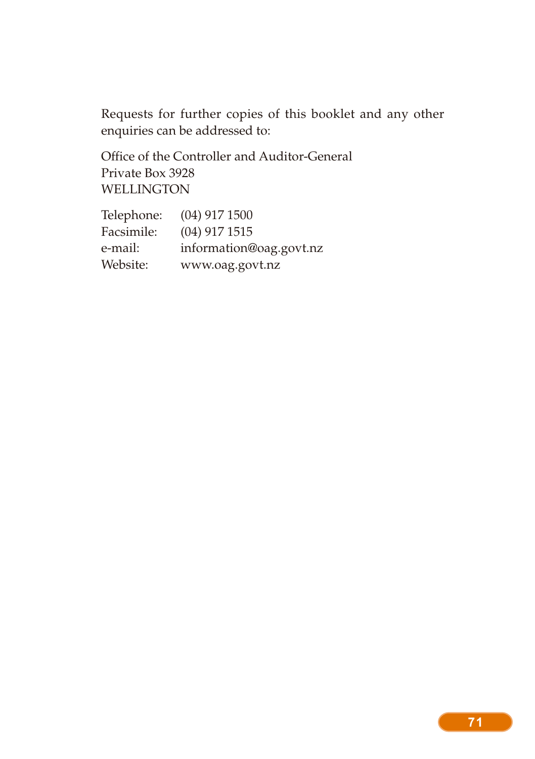Requests for further copies of this booklet and any other enquiries can be addressed to:

Office of the Controller and Auditor-General Private Box 3928 WELLINGTON

| Telephone: | $(04)$ 917 1500         |
|------------|-------------------------|
| Facsimile: | $(04)$ 917 1515         |
| e-mail:    | information@oag.govt.nz |
| Website:   | www.oag.govt.nz         |